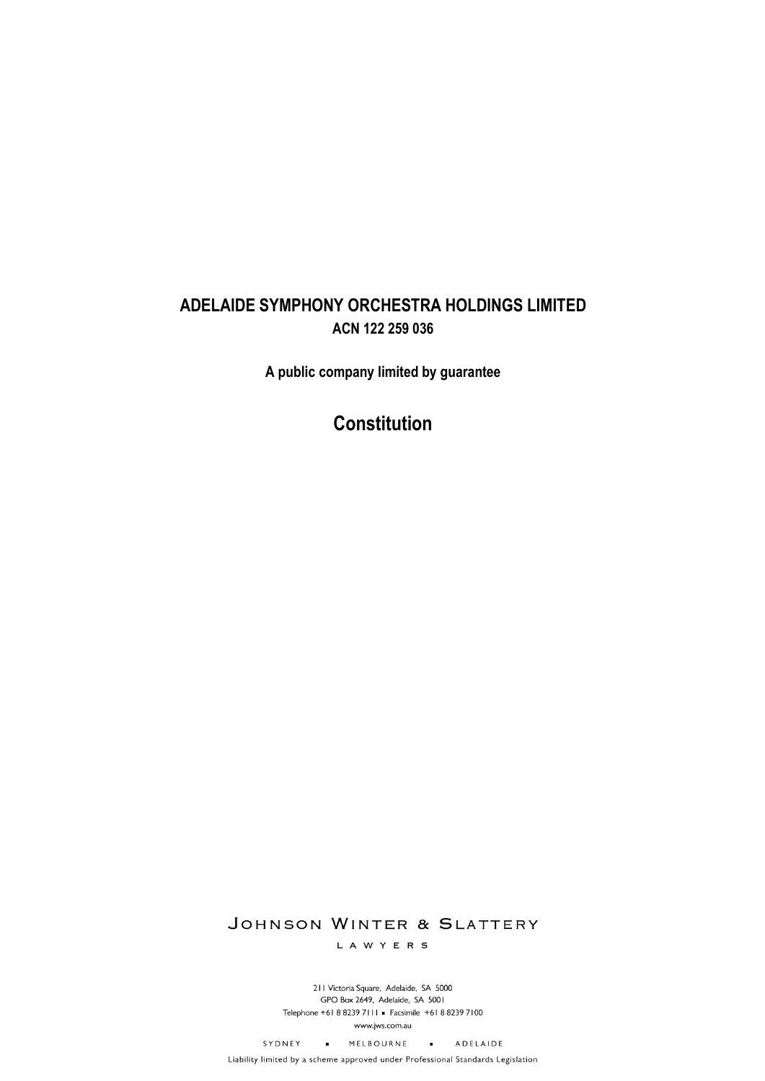# **ADELAIDE SYMPHONY ORCHESTRA HOLDINGS LIMITED ACN 122 259 036**

**A public company limited by guarantee**

# **Constitution**

# JOHNSON WINTER & SLATTERY

L A W Y E R S

211 Victoria Square, Adelaide, SA 5000 GPO Box 2649, Adelaide, SA 5001 Telephone +61 8 8239 7111 · Facsimile +61 8 8239 7100 www.jws.com.au

SYDNEY . MELBOURNE . ADELAIDE

Liability limited by a scheme approved under Professional Standards Legislation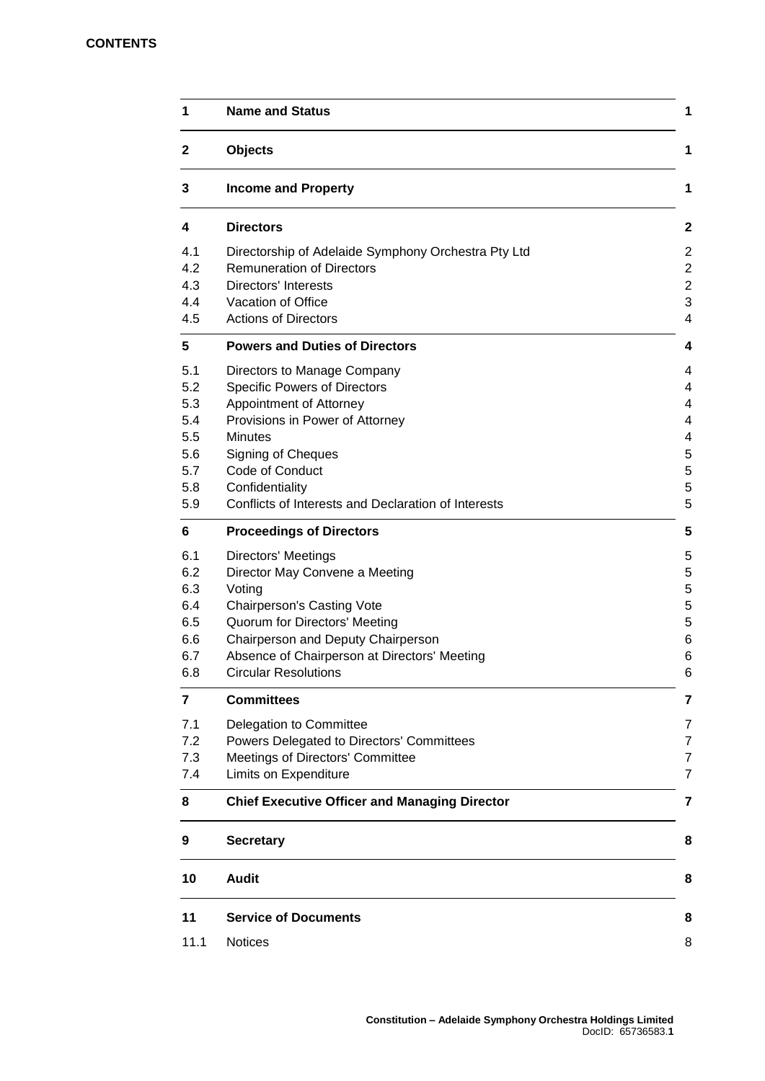# **CONTENTS**

| $\mathbf{2}$                                                | <b>Objects</b>                                                                                                                                                                                                                                                               |  |
|-------------------------------------------------------------|------------------------------------------------------------------------------------------------------------------------------------------------------------------------------------------------------------------------------------------------------------------------------|--|
| 3                                                           | <b>Income and Property</b>                                                                                                                                                                                                                                                   |  |
| 4                                                           | <b>Directors</b>                                                                                                                                                                                                                                                             |  |
| 4.1<br>4.2<br>4.3<br>4.4<br>4.5                             | Directorship of Adelaide Symphony Orchestra Pty Ltd<br><b>Remuneration of Directors</b><br><b>Directors' Interests</b><br>Vacation of Office<br><b>Actions of Directors</b>                                                                                                  |  |
| 5                                                           | <b>Powers and Duties of Directors</b>                                                                                                                                                                                                                                        |  |
| 5.1<br>5.2<br>5.3<br>5.4<br>5.5<br>5.6<br>5.7<br>5.8<br>5.9 | Directors to Manage Company<br><b>Specific Powers of Directors</b><br>Appointment of Attorney<br>Provisions in Power of Attorney<br><b>Minutes</b><br><b>Signing of Cheques</b><br>Code of Conduct<br>Confidentiality<br>Conflicts of Interests and Declaration of Interests |  |
| 6                                                           | <b>Proceedings of Directors</b>                                                                                                                                                                                                                                              |  |
| 6.1<br>6.2<br>6.3<br>6.4<br>6.5<br>6.6<br>6.7<br>6.8        | <b>Directors' Meetings</b><br>Director May Convene a Meeting<br>Voting<br><b>Chairperson's Casting Vote</b><br>Quorum for Directors' Meeting<br>Chairperson and Deputy Chairperson<br>Absence of Chairperson at Directors' Meeting<br><b>Circular Resolutions</b>            |  |
| 7                                                           | <b>Committees</b>                                                                                                                                                                                                                                                            |  |
| 7.1<br>7.2<br>7.3<br>7.4                                    | Delegation to Committee<br>Powers Delegated to Directors' Committees<br>Meetings of Directors' Committee<br>Limits on Expenditure                                                                                                                                            |  |
| 8                                                           | <b>Chief Executive Officer and Managing Director</b>                                                                                                                                                                                                                         |  |
| 9                                                           | <b>Secretary</b>                                                                                                                                                                                                                                                             |  |
| 10                                                          | <b>Audit</b>                                                                                                                                                                                                                                                                 |  |
| 11                                                          | <b>Service of Documents</b>                                                                                                                                                                                                                                                  |  |
| 11.1                                                        | <b>Notices</b>                                                                                                                                                                                                                                                               |  |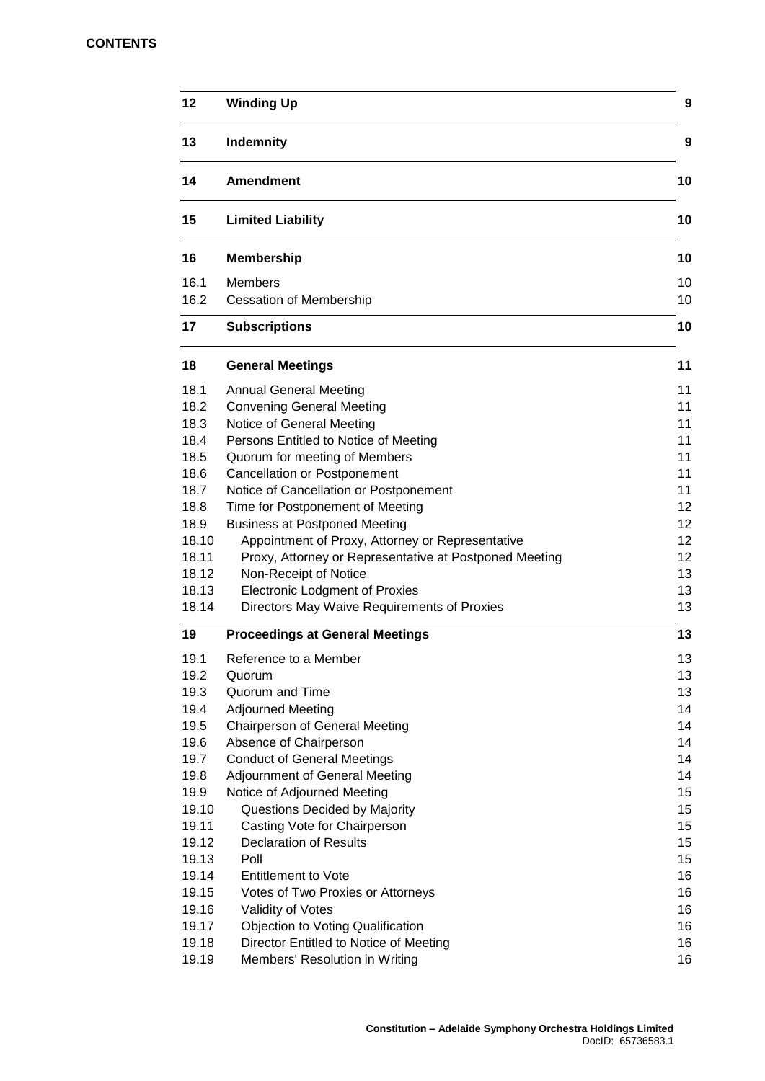# **CONTENTS**

| 12             | <b>Winding Up</b>                                              | 9        |
|----------------|----------------------------------------------------------------|----------|
| 13             | Indemnity                                                      | 9        |
| 14             | <b>Amendment</b>                                               | 10       |
| 15             | <b>Limited Liability</b>                                       | 10       |
| 16             | <b>Membership</b>                                              | 10       |
| 16.1<br>16.2   | <b>Members</b><br><b>Cessation of Membership</b>               | 10<br>10 |
| 17             | <b>Subscriptions</b>                                           | 10       |
| 18             | <b>General Meetings</b>                                        | 11       |
| 18.1           | <b>Annual General Meeting</b>                                  | 11       |
| 18.2           | <b>Convening General Meeting</b>                               | 11       |
| 18.3           | Notice of General Meeting                                      | 11       |
| 18.4           | Persons Entitled to Notice of Meeting                          | 11       |
| 18.5           | Quorum for meeting of Members                                  | 11       |
| 18.6           | <b>Cancellation or Postponement</b>                            | 11       |
| 18.7           | Notice of Cancellation or Postponement                         | 11       |
| 18.8           | Time for Postponement of Meeting                               | 12       |
| 18.9           | <b>Business at Postponed Meeting</b>                           | 12       |
| 18.10          | Appointment of Proxy, Attorney or Representative               | 12       |
| 18.11          | Proxy, Attorney or Representative at Postponed Meeting         | 12       |
| 18.12<br>18.13 | Non-Receipt of Notice<br><b>Electronic Lodgment of Proxies</b> | 13<br>13 |
| 18.14          | Directors May Waive Requirements of Proxies                    | 13       |
| 19             | <b>Proceedings at General Meetings</b>                         | 13       |
| 19.1           | Reference to a Member                                          | 13       |
| 19.2           | Quorum                                                         | 13       |
| 19.3           | Quorum and Time                                                | 13       |
| 19.4           | <b>Adjourned Meeting</b>                                       | 14       |
| 19.5           | <b>Chairperson of General Meeting</b>                          | 14       |
| 19.6           | Absence of Chairperson                                         | 14       |
| 19.7           | <b>Conduct of General Meetings</b>                             | 14       |
| 19.8           | <b>Adjournment of General Meeting</b>                          | 14       |
| 19.9           | Notice of Adjourned Meeting                                    | 15       |
| 19.10          | Questions Decided by Majority                                  | 15       |
| 19.11          | Casting Vote for Chairperson                                   | 15       |
| 19.12          | <b>Declaration of Results</b><br>Poll                          | 15       |
| 19.13<br>19.14 | <b>Entitlement to Vote</b>                                     | 15<br>16 |
| 19.15          | Votes of Two Proxies or Attorneys                              | 16       |
| 19.16          | Validity of Votes                                              | 16       |
| 19.17          | <b>Objection to Voting Qualification</b>                       | 16       |
| 19.18          | Director Entitled to Notice of Meeting                         | 16       |
| 19.19          | Members' Resolution in Writing                                 | 16       |
|                |                                                                |          |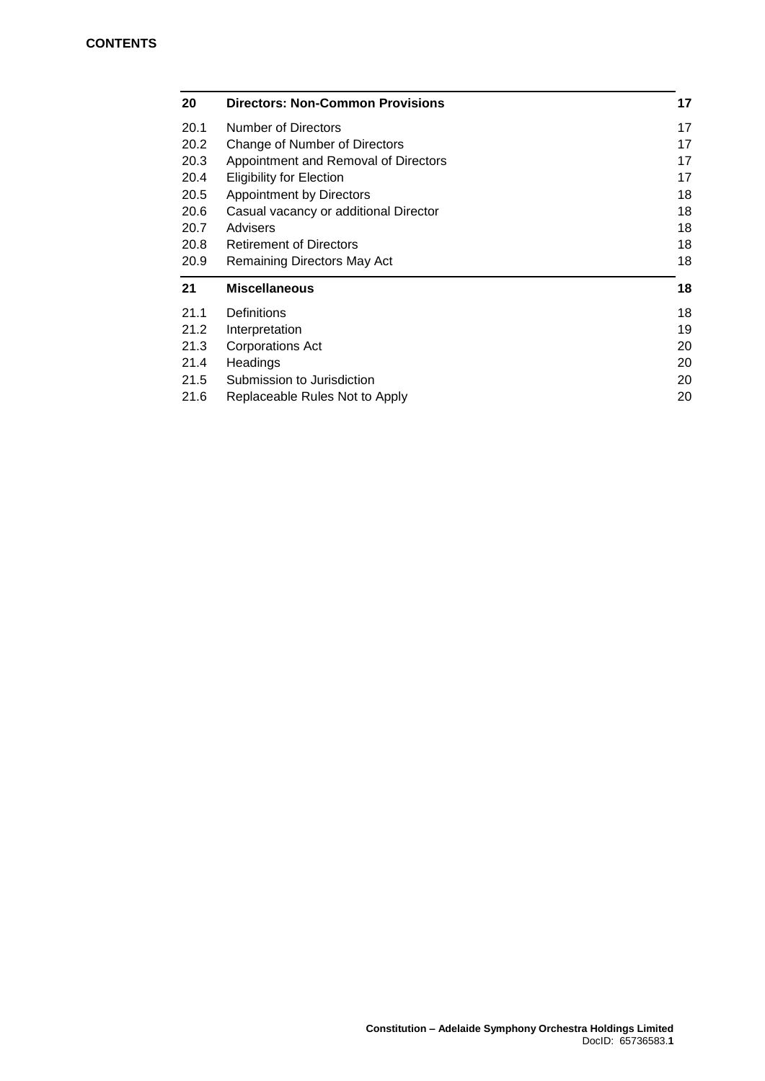| 20   | <b>Directors: Non-Common Provisions</b> | 17 |
|------|-----------------------------------------|----|
| 20.1 | Number of Directors                     | 17 |
| 20.2 | Change of Number of Directors           | 17 |
| 20.3 | Appointment and Removal of Directors    | 17 |
| 20.4 | <b>Eligibility for Election</b>         | 17 |
| 20.5 | Appointment by Directors                | 18 |
| 20.6 | Casual vacancy or additional Director   | 18 |
| 20.7 | Advisers                                | 18 |
| 20.8 | <b>Retirement of Directors</b>          | 18 |
| 20.9 | Remaining Directors May Act             | 18 |
| 21   | <b>Miscellaneous</b>                    | 18 |
|      |                                         |    |
| 21.1 | Definitions                             | 18 |
| 21.2 | Interpretation                          | 19 |
| 21.3 | Corporations Act                        | 20 |
| 21.4 | Headings                                | 20 |
| 21.5 | Submission to Jurisdiction              | 20 |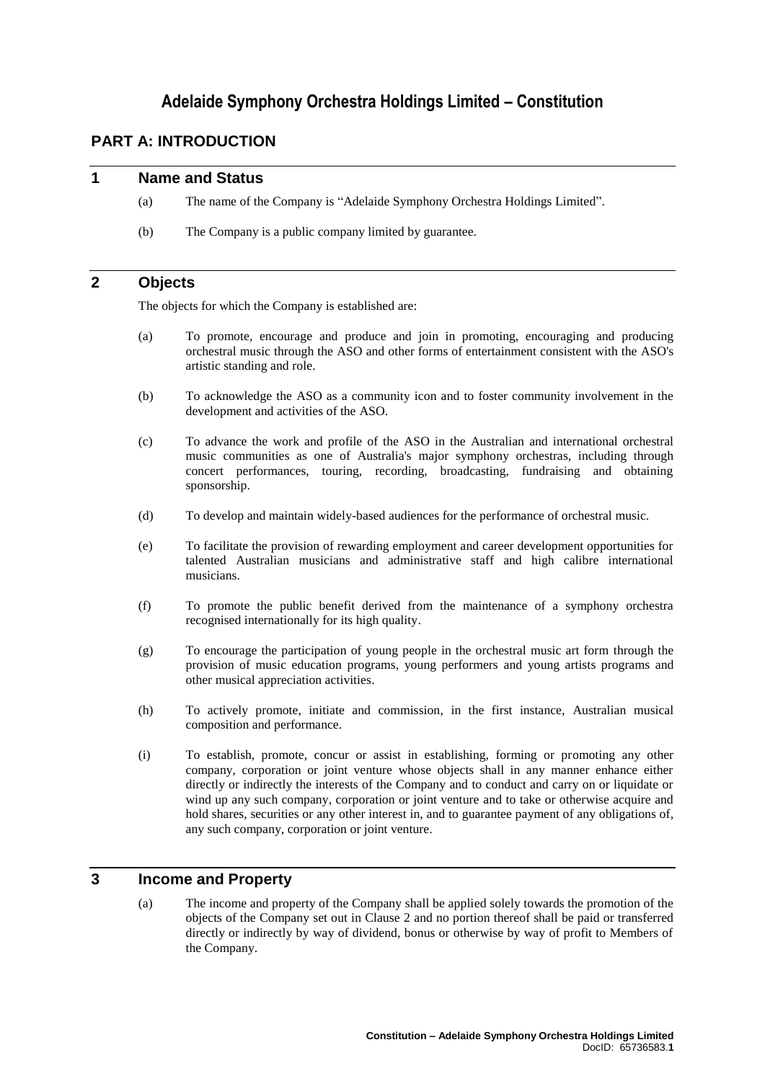# **Adelaide Symphony Orchestra Holdings Limited – Constitution**

# **PART A: INTRODUCTION**

# **1 Name and Status**

- (a) The name of the Company is "Adelaide Symphony Orchestra Holdings Limited".
- (b) The Company is a public company limited by guarantee.

# <span id="page-4-0"></span>**2 Objects**

The objects for which the Company is established are:

- (a) To promote, encourage and produce and join in promoting, encouraging and producing orchestral music through the ASO and other forms of entertainment consistent with the ASO's artistic standing and role.
- (b) To acknowledge the ASO as a community icon and to foster community involvement in the development and activities of the ASO.
- (c) To advance the work and profile of the ASO in the Australian and international orchestral music communities as one of Australia's major symphony orchestras, including through concert performances, touring, recording, broadcasting, fundraising and obtaining sponsorship.
- (d) To develop and maintain widely-based audiences for the performance of orchestral music.
- (e) To facilitate the provision of rewarding employment and career development opportunities for talented Australian musicians and administrative staff and high calibre international musicians.
- (f) To promote the public benefit derived from the maintenance of a symphony orchestra recognised internationally for its high quality.
- (g) To encourage the participation of young people in the orchestral music art form through the provision of music education programs, young performers and young artists programs and other musical appreciation activities.
- (h) To actively promote, initiate and commission, in the first instance, Australian musical composition and performance.
- (i) To establish, promote, concur or assist in establishing, forming or promoting any other company, corporation or joint venture whose objects shall in any manner enhance either directly or indirectly the interests of the Company and to conduct and carry on or liquidate or wind up any such company, corporation or joint venture and to take or otherwise acquire and hold shares, securities or any other interest in, and to guarantee payment of any obligations of, any such company, corporation or joint venture.

# <span id="page-4-1"></span>**3 Income and Property**

(a) The income and property of the Company shall be applied solely towards the promotion of the objects of the Company set out in Clause [2](#page-4-0) and no portion thereof shall be paid or transferred directly or indirectly by way of dividend, bonus or otherwise by way of profit to Members of the Company.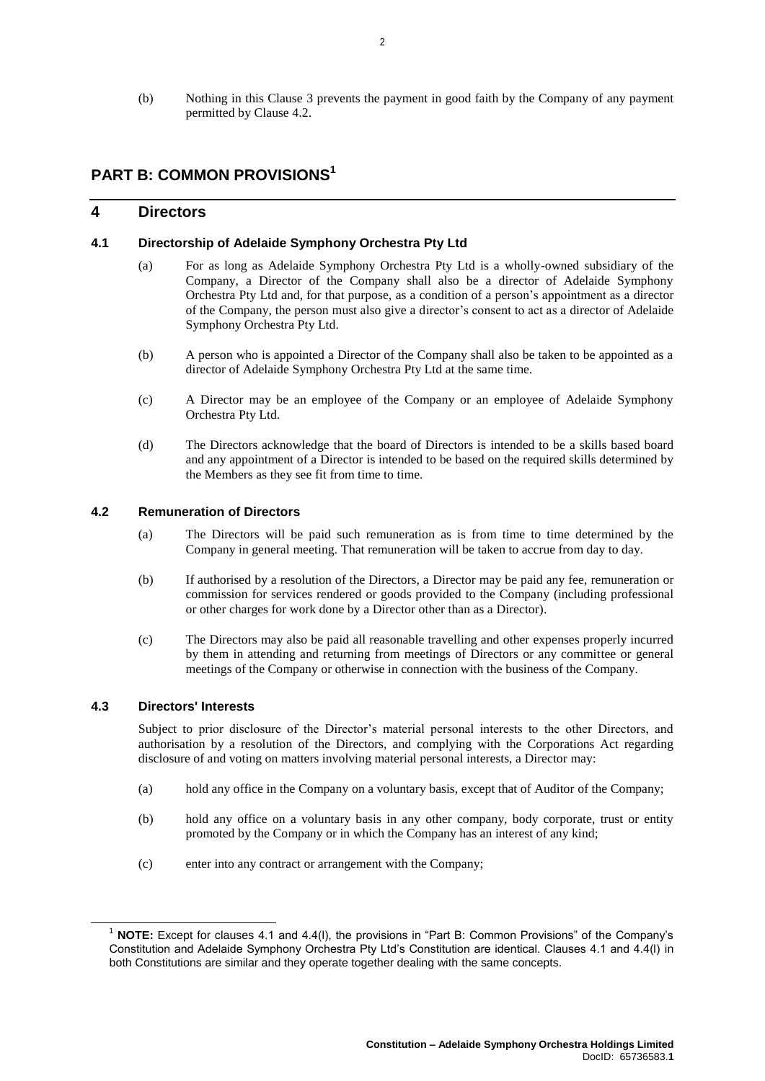(b) Nothing in this Clause [3](#page-4-1) prevents the payment in good faith by the Company of any payment permitted by Claus[e 4.2.](#page-5-0)

# **PART B: COMMON PROVISIONS<sup>1</sup>**

# **4 Directors**

#### **4.1 Directorship of Adelaide Symphony Orchestra Pty Ltd**

- (a) For as long as Adelaide Symphony Orchestra Pty Ltd is a wholly-owned subsidiary of the Company, a Director of the Company shall also be a director of Adelaide Symphony Orchestra Pty Ltd and, for that purpose, as a condition of a person's appointment as a director of the Company, the person must also give a director's consent to act as a director of Adelaide Symphony Orchestra Pty Ltd.
- (b) A person who is appointed a Director of the Company shall also be taken to be appointed as a director of Adelaide Symphony Orchestra Pty Ltd at the same time.
- (c) A Director may be an employee of the Company or an employee of Adelaide Symphony Orchestra Pty Ltd.
- (d) The Directors acknowledge that the board of Directors is intended to be a skills based board and any appointment of a Director is intended to be based on the required skills determined by the Members as they see fit from time to time.

# <span id="page-5-0"></span>**4.2 Remuneration of Directors**

- (a) The Directors will be paid such remuneration as is from time to time determined by the Company in general meeting. That remuneration will be taken to accrue from day to day.
- (b) If authorised by a resolution of the Directors, a Director may be paid any fee, remuneration or commission for services rendered or goods provided to the Company (including professional or other charges for work done by a Director other than as a Director).
- (c) The Directors may also be paid all reasonable travelling and other expenses properly incurred by them in attending and returning from meetings of Directors or any committee or general meetings of the Company or otherwise in connection with the business of the Company.

#### <span id="page-5-1"></span>**4.3 Directors' Interests**

 $\overline{a}$ 

Subject to prior disclosure of the Director's material personal interests to the other Directors, and authorisation by a resolution of the Directors, and complying with the Corporations Act regarding disclosure of and voting on matters involving material personal interests, a Director may:

- (a) hold any office in the Company on a voluntary basis, except that of Auditor of the Company;
- (b) hold any office on a voluntary basis in any other company, body corporate, trust or entity promoted by the Company or in which the Company has an interest of any kind;
- (c) enter into any contract or arrangement with the Company;

<sup>1</sup> **NOTE:** Except for clauses 4.1 and 4.4(l), the provisions in "Part B: Common Provisions" of the Company's Constitution and Adelaide Symphony Orchestra Pty Ltd's Constitution are identical. Clauses 4.1 and 4.4(l) in both Constitutions are similar and they operate together dealing with the same concepts.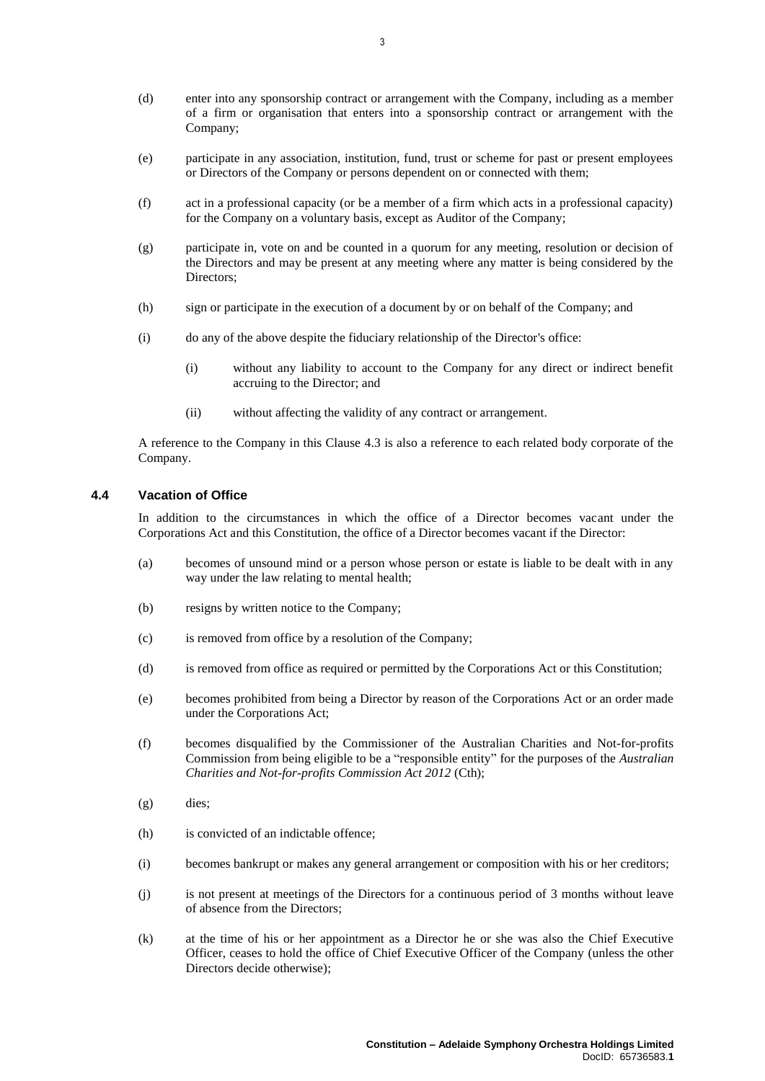- (d) enter into any sponsorship contract or arrangement with the Company, including as a member of a firm or organisation that enters into a sponsorship contract or arrangement with the Company;
- (e) participate in any association, institution, fund, trust or scheme for past or present employees or Directors of the Company or persons dependent on or connected with them;
- (f) act in a professional capacity (or be a member of a firm which acts in a professional capacity) for the Company on a voluntary basis, except as Auditor of the Company;
- (g) participate in, vote on and be counted in a quorum for any meeting, resolution or decision of the Directors and may be present at any meeting where any matter is being considered by the Directors;
- (h) sign or participate in the execution of a document by or on behalf of the Company; and
- (i) do any of the above despite the fiduciary relationship of the Director's office:
	- (i) without any liability to account to the Company for any direct or indirect benefit accruing to the Director; and
	- (ii) without affecting the validity of any contract or arrangement.

A reference to the Company in this Clause [4.3](#page-5-1) is also a reference to each related body corporate of the Company.

# **4.4 Vacation of Office**

In addition to the circumstances in which the office of a Director becomes vacant under the Corporations Act and this Constitution, the office of a Director becomes vacant if the Director:

- (a) becomes of unsound mind or a person whose person or estate is liable to be dealt with in any way under the law relating to mental health;
- (b) resigns by written notice to the Company;
- (c) is removed from office by a resolution of the Company;
- (d) is removed from office as required or permitted by the Corporations Act or this Constitution;
- (e) becomes prohibited from being a Director by reason of the Corporations Act or an order made under the Corporations Act;
- (f) becomes disqualified by the Commissioner of the Australian Charities and Not-for-profits Commission from being eligible to be a "responsible entity" for the purposes of the *Australian Charities and Not-for-profits Commission Act 2012* (Cth);
- (g) dies;
- (h) is convicted of an indictable offence;
- (i) becomes bankrupt or makes any general arrangement or composition with his or her creditors;
- (j) is not present at meetings of the Directors for a continuous period of 3 months without leave of absence from the Directors;
- <span id="page-6-0"></span>(k) at the time of his or her appointment as a Director he or she was also the Chief Executive Officer, ceases to hold the office of Chief Executive Officer of the Company (unless the other Directors decide otherwise);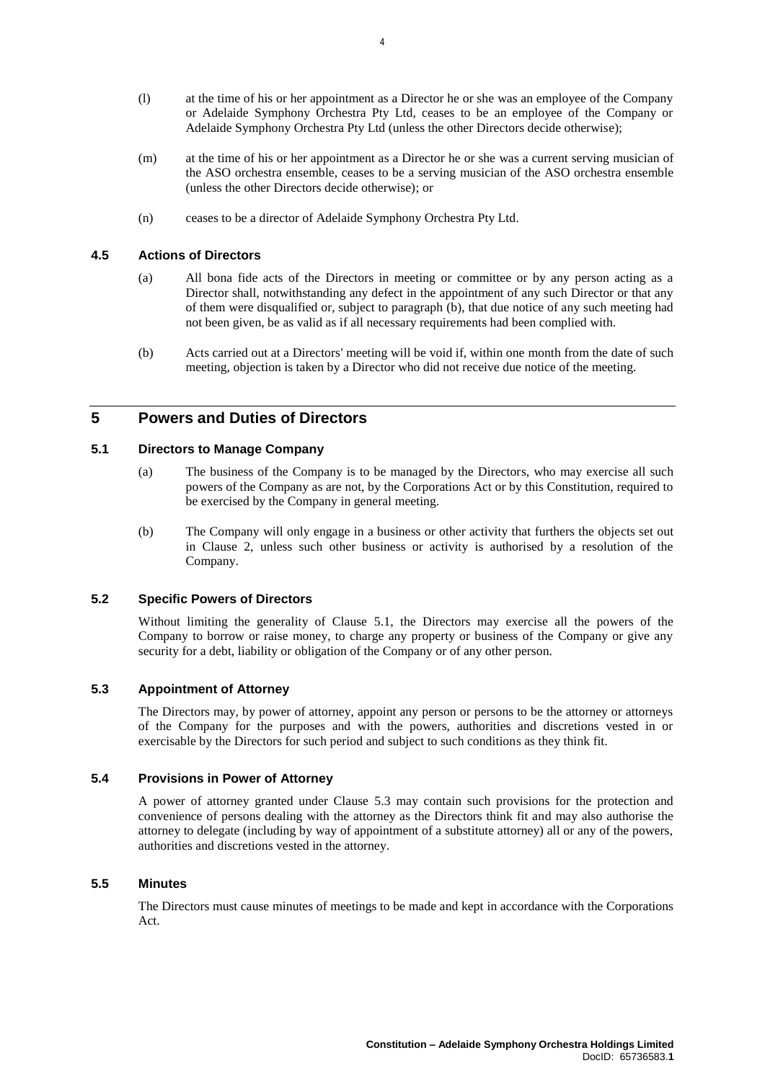- (l) at the time of his or her appointment as a Director he or she was an employee of the Company or Adelaide Symphony Orchestra Pty Ltd, ceases to be an employee of the Company or Adelaide Symphony Orchestra Pty Ltd (unless the other Directors decide otherwise);
- (m) at the time of his or her appointment as a Director he or she was a current serving musician of the ASO orchestra ensemble, ceases to be a serving musician of the ASO orchestra ensemble (unless the other Directors decide otherwise); or
- (n) ceases to be a director of Adelaide Symphony Orchestra Pty Ltd.

# **4.5 Actions of Directors**

- (a) All bona fide acts of the Directors in meeting or committee or by any person acting as a Director shall, notwithstanding any defect in the appointment of any such Director or that any of them were disqualified or, subject to paragraph [\(b\),](#page-7-0) that due notice of any such meeting had not been given, be as valid as if all necessary requirements had been complied with.
- <span id="page-7-0"></span>(b) Acts carried out at a Directors' meeting will be void if, within one month from the date of such meeting, objection is taken by a Director who did not receive due notice of the meeting.

# **5 Powers and Duties of Directors**

### <span id="page-7-1"></span>**5.1 Directors to Manage Company**

- (a) The business of the Company is to be managed by the Directors, who may exercise all such powers of the Company as are not, by the Corporations Act or by this Constitution, required to be exercised by the Company in general meeting.
- (b) The Company will only engage in a business or other activity that furthers the objects set out in Clause [2,](#page-4-0) unless such other business or activity is authorised by a resolution of the Company.

# **5.2 Specific Powers of Directors**

Without limiting the generality of Clause [5.1,](#page-7-1) the Directors may exercise all the powers of the Company to borrow or raise money, to charge any property or business of the Company or give any security for a debt, liability or obligation of the Company or of any other person.

# <span id="page-7-2"></span>**5.3 Appointment of Attorney**

The Directors may, by power of attorney, appoint any person or persons to be the attorney or attorneys of the Company for the purposes and with the powers, authorities and discretions vested in or exercisable by the Directors for such period and subject to such conditions as they think fit.

# **5.4 Provisions in Power of Attorney**

A power of attorney granted under Clause [5.3](#page-7-2) may contain such provisions for the protection and convenience of persons dealing with the attorney as the Directors think fit and may also authorise the attorney to delegate (including by way of appointment of a substitute attorney) all or any of the powers, authorities and discretions vested in the attorney.

# **5.5 Minutes**

The Directors must cause minutes of meetings to be made and kept in accordance with the Corporations Act.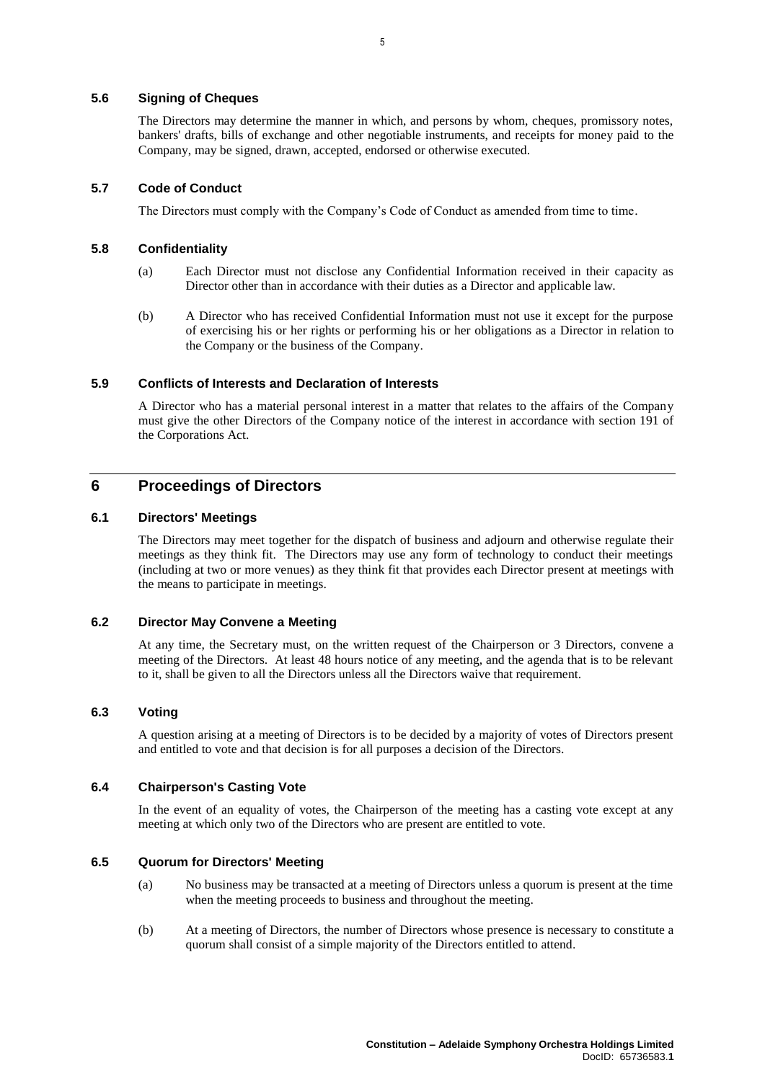### **5.6 Signing of Cheques**

The Directors may determine the manner in which, and persons by whom, cheques, promissory notes, bankers' drafts, bills of exchange and other negotiable instruments, and receipts for money paid to the Company, may be signed, drawn, accepted, endorsed or otherwise executed.

### **5.7 Code of Conduct**

The Directors must comply with the Company's Code of Conduct as amended from time to time.

#### **5.8 Confidentiality**

- (a) Each Director must not disclose any Confidential Information received in their capacity as Director other than in accordance with their duties as a Director and applicable law.
- (b) A Director who has received Confidential Information must not use it except for the purpose of exercising his or her rights or performing his or her obligations as a Director in relation to the Company or the business of the Company.

#### **5.9 Conflicts of Interests and Declaration of Interests**

A Director who has a material personal interest in a matter that relates to the affairs of the Company must give the other Directors of the Company notice of the interest in accordance with section 191 of the Corporations Act.

# **6 Proceedings of Directors**

## **6.1 Directors' Meetings**

The Directors may meet together for the dispatch of business and adjourn and otherwise regulate their meetings as they think fit. The Directors may use any form of technology to conduct their meetings (including at two or more venues) as they think fit that provides each Director present at meetings with the means to participate in meetings.

#### **6.2 Director May Convene a Meeting**

At any time, the Secretary must, on the written request of the Chairperson or 3 Directors, convene a meeting of the Directors. At least 48 hours notice of any meeting, and the agenda that is to be relevant to it, shall be given to all the Directors unless all the Directors waive that requirement.

# **6.3 Voting**

A question arising at a meeting of Directors is to be decided by a majority of votes of Directors present and entitled to vote and that decision is for all purposes a decision of the Directors.

#### **6.4 Chairperson's Casting Vote**

In the event of an equality of votes, the Chairperson of the meeting has a casting vote except at any meeting at which only two of the Directors who are present are entitled to vote.

#### **6.5 Quorum for Directors' Meeting**

- (a) No business may be transacted at a meeting of Directors unless a quorum is present at the time when the meeting proceeds to business and throughout the meeting.
- (b) At a meeting of Directors, the number of Directors whose presence is necessary to constitute a quorum shall consist of a simple majority of the Directors entitled to attend.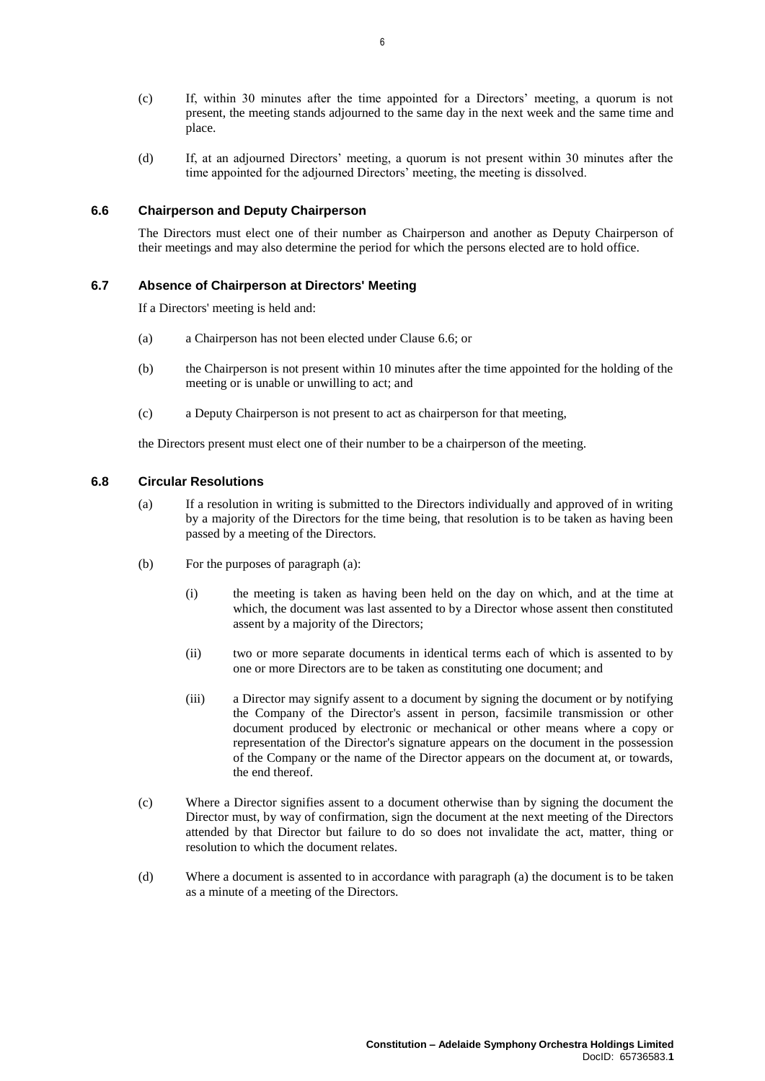- (c) If, within 30 minutes after the time appointed for a Directors' meeting, a quorum is not present, the meeting stands adjourned to the same day in the next week and the same time and place.
- (d) If, at an adjourned Directors' meeting, a quorum is not present within 30 minutes after the time appointed for the adjourned Directors' meeting, the meeting is dissolved.

#### <span id="page-9-0"></span>**6.6 Chairperson and Deputy Chairperson**

The Directors must elect one of their number as Chairperson and another as Deputy Chairperson of their meetings and may also determine the period for which the persons elected are to hold office.

### **6.7 Absence of Chairperson at Directors' Meeting**

If a Directors' meeting is held and:

- (a) a Chairperson has not been elected under Clause [6.6;](#page-9-0) or
- (b) the Chairperson is not present within 10 minutes after the time appointed for the holding of the meeting or is unable or unwilling to act; and
- (c) a Deputy Chairperson is not present to act as chairperson for that meeting,

the Directors present must elect one of their number to be a chairperson of the meeting.

#### <span id="page-9-1"></span>**6.8 Circular Resolutions**

- (a) If a resolution in writing is submitted to the Directors individually and approved of in writing by a majority of the Directors for the time being, that resolution is to be taken as having been passed by a meeting of the Directors.
- (b) For the purposes of paragraph [\(a\):](#page-9-1)
	- (i) the meeting is taken as having been held on the day on which, and at the time at which, the document was last assented to by a Director whose assent then constituted assent by a majority of the Directors;
	- (ii) two or more separate documents in identical terms each of which is assented to by one or more Directors are to be taken as constituting one document; and
	- (iii) a Director may signify assent to a document by signing the document or by notifying the Company of the Director's assent in person, facsimile transmission or other document produced by electronic or mechanical or other means where a copy or representation of the Director's signature appears on the document in the possession of the Company or the name of the Director appears on the document at, or towards, the end thereof.
- (c) Where a Director signifies assent to a document otherwise than by signing the document the Director must, by way of confirmation, sign the document at the next meeting of the Directors attended by that Director but failure to do so does not invalidate the act, matter, thing or resolution to which the document relates.
- (d) Where a document is assented to in accordance with paragraph [\(a\)](#page-9-1) the document is to be taken as a minute of a meeting of the Directors.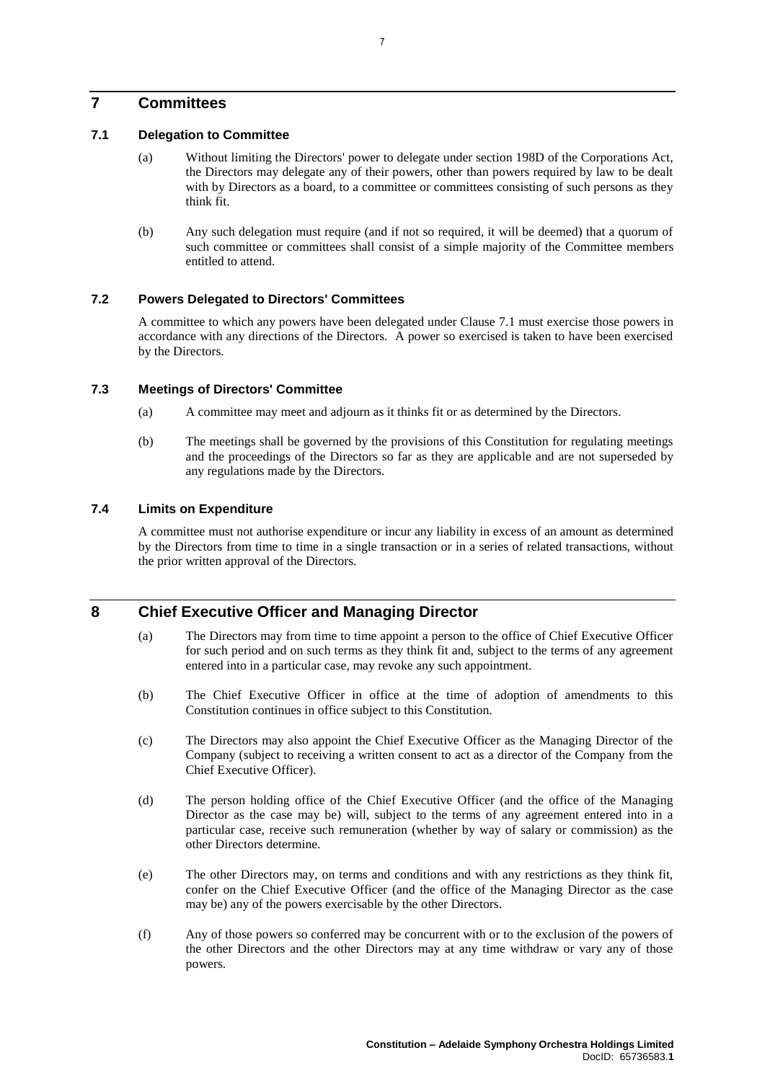# **7 Committees**

## <span id="page-10-0"></span>**7.1 Delegation to Committee**

- (a) Without limiting the Directors' power to delegate under section 198D of the Corporations Act, the Directors may delegate any of their powers, other than powers required by law to be dealt with by Directors as a board, to a committee or committees consisting of such persons as they think fit.
- (b) Any such delegation must require (and if not so required, it will be deemed) that a quorum of such committee or committees shall consist of a simple majority of the Committee members entitled to attend.

# **7.2 Powers Delegated to Directors' Committees**

A committee to which any powers have been delegated under Clause [7.1](#page-10-0) must exercise those powers in accordance with any directions of the Directors. A power so exercised is taken to have been exercised by the Directors.

# **7.3 Meetings of Directors' Committee**

- (a) A committee may meet and adjourn as it thinks fit or as determined by the Directors.
- (b) The meetings shall be governed by the provisions of this Constitution for regulating meetings and the proceedings of the Directors so far as they are applicable and are not superseded by any regulations made by the Directors.

# **7.4 Limits on Expenditure**

A committee must not authorise expenditure or incur any liability in excess of an amount as determined by the Directors from time to time in a single transaction or in a series of related transactions, without the prior written approval of the Directors.

# <span id="page-10-1"></span>**8 Chief Executive Officer and Managing Director**

- (a) The Directors may from time to time appoint a person to the office of Chief Executive Officer for such period and on such terms as they think fit and, subject to the terms of any agreement entered into in a particular case, may revoke any such appointment.
- (b) The Chief Executive Officer in office at the time of adoption of amendments to this Constitution continues in office subject to this Constitution.
- (c) The Directors may also appoint the Chief Executive Officer as the Managing Director of the Company (subject to receiving a written consent to act as a director of the Company from the Chief Executive Officer).
- (d) The person holding office of the Chief Executive Officer (and the office of the Managing Director as the case may be) will, subject to the terms of any agreement entered into in a particular case, receive such remuneration (whether by way of salary or commission) as the other Directors determine.
- (e) The other Directors may, on terms and conditions and with any restrictions as they think fit, confer on the Chief Executive Officer (and the office of the Managing Director as the case may be) any of the powers exercisable by the other Directors.
- (f) Any of those powers so conferred may be concurrent with or to the exclusion of the powers of the other Directors and the other Directors may at any time withdraw or vary any of those powers.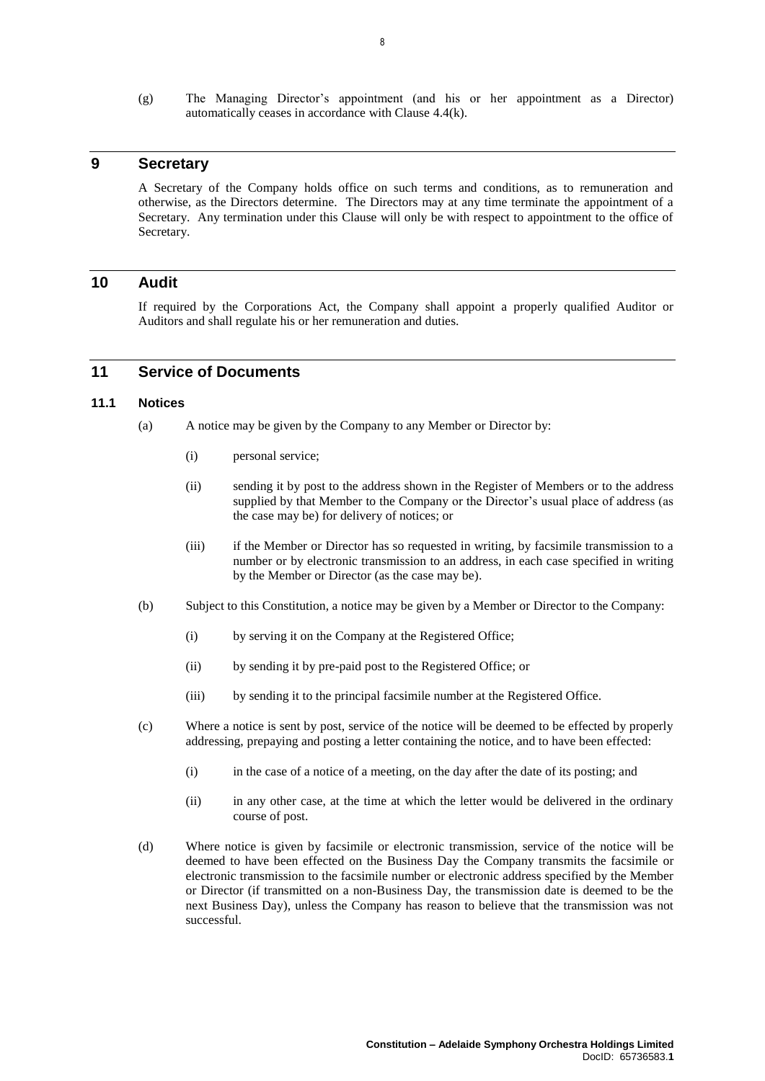(g) The Managing Director's appointment (and his or her appointment as a Director) automatically ceases in accordance with Clause [4.4\(k\).](#page-6-0)

# **9 Secretary**

A Secretary of the Company holds office on such terms and conditions, as to remuneration and otherwise, as the Directors determine. The Directors may at any time terminate the appointment of a Secretary. Any termination under this Clause will only be with respect to appointment to the office of Secretary.

# **10 Audit**

If required by the Corporations Act, the Company shall appoint a properly qualified Auditor or Auditors and shall regulate his or her remuneration and duties.

# <span id="page-11-0"></span>**11 Service of Documents**

# **11.1 Notices**

- (a) A notice may be given by the Company to any Member or Director by:
	- (i) personal service;
	- (ii) sending it by post to the address shown in the Register of Members or to the address supplied by that Member to the Company or the Director's usual place of address (as the case may be) for delivery of notices; or
	- (iii) if the Member or Director has so requested in writing, by facsimile transmission to a number or by electronic transmission to an address, in each case specified in writing by the Member or Director (as the case may be).
- (b) Subject to this Constitution, a notice may be given by a Member or Director to the Company:
	- (i) by serving it on the Company at the Registered Office;
	- (ii) by sending it by pre-paid post to the Registered Office; or
	- (iii) by sending it to the principal facsimile number at the Registered Office.
- (c) Where a notice is sent by post, service of the notice will be deemed to be effected by properly addressing, prepaying and posting a letter containing the notice, and to have been effected:
	- (i) in the case of a notice of a meeting, on the day after the date of its posting; and
	- (ii) in any other case, at the time at which the letter would be delivered in the ordinary course of post.
- (d) Where notice is given by facsimile or electronic transmission, service of the notice will be deemed to have been effected on the Business Day the Company transmits the facsimile or electronic transmission to the facsimile number or electronic address specified by the Member or Director (if transmitted on a non-Business Day, the transmission date is deemed to be the next Business Day), unless the Company has reason to believe that the transmission was not successful.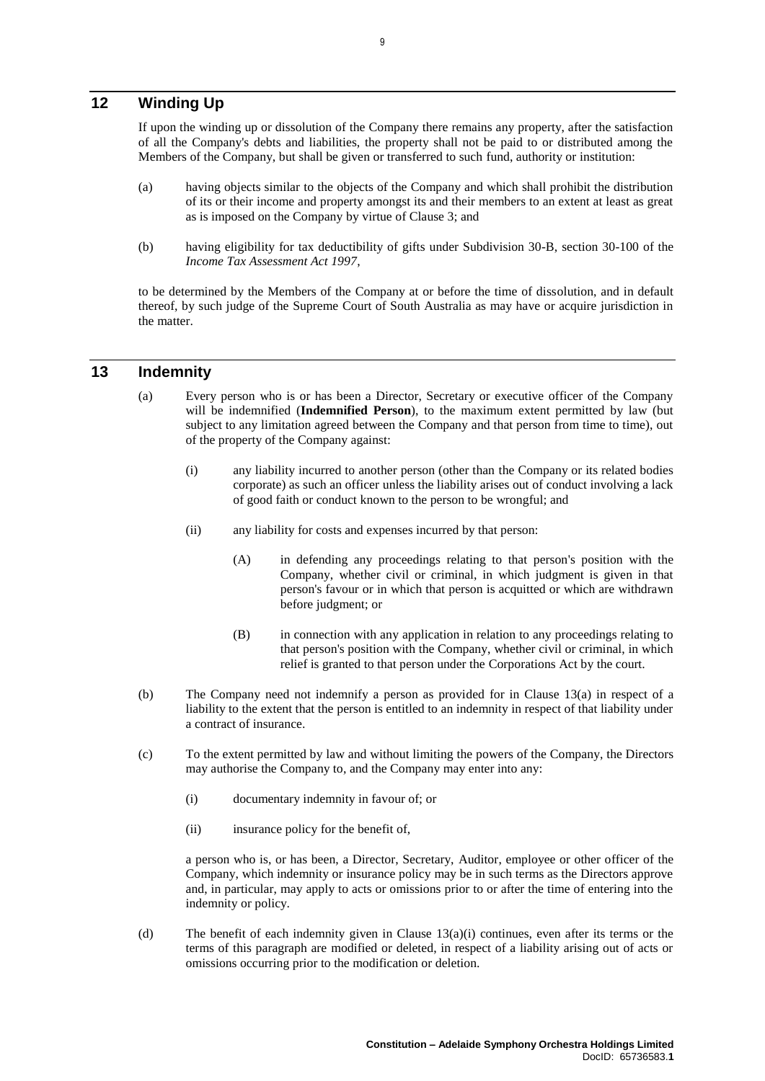# **12 Winding Up**

If upon the winding up or dissolution of the Company there remains any property, after the satisfaction of all the Company's debts and liabilities, the property shall not be paid to or distributed among the Members of the Company, but shall be given or transferred to such fund, authority or institution:

- (a) having objects similar to the objects of the Company and which shall prohibit the distribution of its or their income and property amongst its and their members to an extent at least as great as is imposed on the Company by virtue of Clause [3;](#page-4-1) and
- (b) having eligibility for tax deductibility of gifts under Subdivision 30-B, section 30-100 of the *Income Tax Assessment Act 1997*,

to be determined by the Members of the Company at or before the time of dissolution, and in default thereof, by such judge of the Supreme Court of South Australia as may have or acquire jurisdiction in the matter.

# <span id="page-12-2"></span><span id="page-12-0"></span>**13 Indemnity**

- <span id="page-12-1"></span>(a) Every person who is or has been a Director, Secretary or executive officer of the Company will be indemnified (**Indemnified Person**), to the maximum extent permitted by law (but subject to any limitation agreed between the Company and that person from time to time), out of the property of the Company against:
	- (i) any liability incurred to another person (other than the Company or its related bodies corporate) as such an officer unless the liability arises out of conduct involving a lack of good faith or conduct known to the person to be wrongful; and
	- (ii) any liability for costs and expenses incurred by that person:
		- (A) in defending any proceedings relating to that person's position with the Company, whether civil or criminal, in which judgment is given in that person's favour or in which that person is acquitted or which are withdrawn before judgment; or
		- (B) in connection with any application in relation to any proceedings relating to that person's position with the Company, whether civil or criminal, in which relief is granted to that person under the Corporations Act by the court.
- (b) The Company need not indemnify a person as provided for in Clause [13\(a\)](#page-12-0) in respect of a liability to the extent that the person is entitled to an indemnity in respect of that liability under a contract of insurance.
- (c) To the extent permitted by law and without limiting the powers of the Company, the Directors may authorise the Company to, and the Company may enter into any:
	- (i) documentary indemnity in favour of; or
	- (ii) insurance policy for the benefit of,

a person who is, or has been, a Director, Secretary, Auditor, employee or other officer of the Company, which indemnity or insurance policy may be in such terms as the Directors approve and, in particular, may apply to acts or omissions prior to or after the time of entering into the indemnity or policy.

(d) The benefit of each indemnity given in Clause  $13(a)(i)$  continues, even after its terms or the terms of this paragraph are modified or deleted, in respect of a liability arising out of acts or omissions occurring prior to the modification or deletion.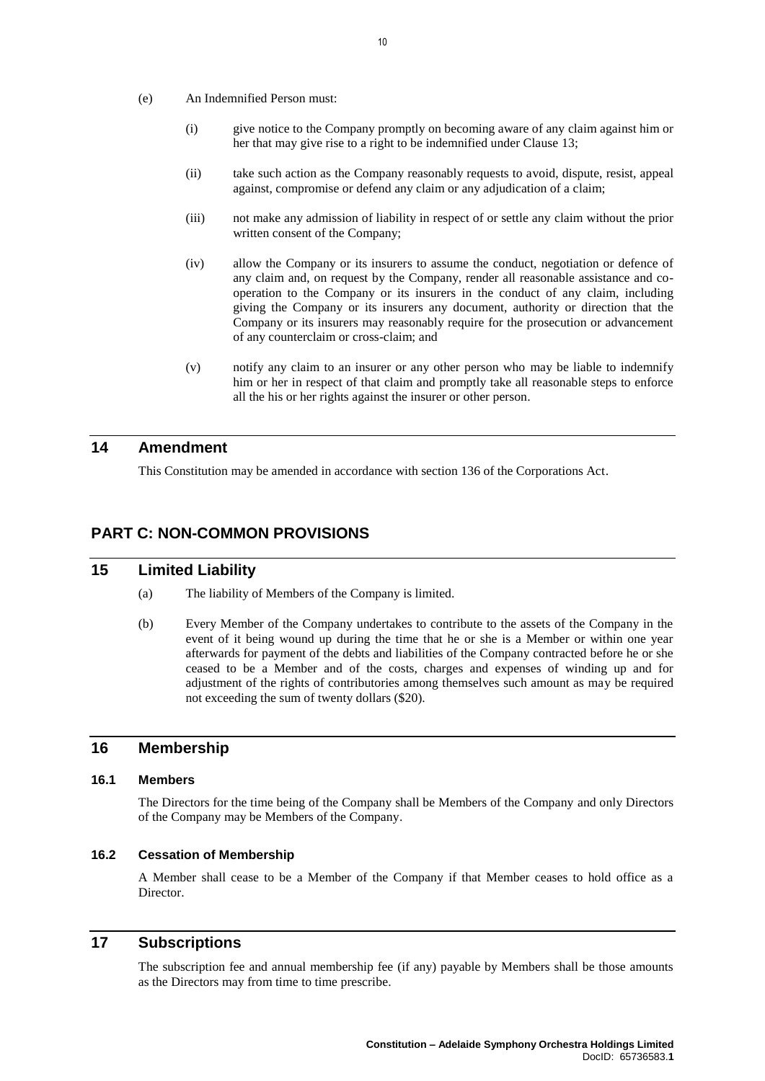- (e) An Indemnified Person must:
	- (i) give notice to the Company promptly on becoming aware of any claim against him or her that may give rise to a right to be indemnified under Clause [13;](#page-12-2)
	- (ii) take such action as the Company reasonably requests to avoid, dispute, resist, appeal against, compromise or defend any claim or any adjudication of a claim;
	- (iii) not make any admission of liability in respect of or settle any claim without the prior written consent of the Company;
	- (iv) allow the Company or its insurers to assume the conduct, negotiation or defence of any claim and, on request by the Company, render all reasonable assistance and cooperation to the Company or its insurers in the conduct of any claim, including giving the Company or its insurers any document, authority or direction that the Company or its insurers may reasonably require for the prosecution or advancement of any counterclaim or cross-claim; and
	- (v) notify any claim to an insurer or any other person who may be liable to indemnify him or her in respect of that claim and promptly take all reasonable steps to enforce all the his or her rights against the insurer or other person.

# **14 Amendment**

This Constitution may be amended in accordance with section 136 of the Corporations Act.

# **PART C: NON-COMMON PROVISIONS**

# **15 Limited Liability**

- (a) The liability of Members of the Company is limited.
- (b) Every Member of the Company undertakes to contribute to the assets of the Company in the event of it being wound up during the time that he or she is a Member or within one year afterwards for payment of the debts and liabilities of the Company contracted before he or she ceased to be a Member and of the costs, charges and expenses of winding up and for adjustment of the rights of contributories among themselves such amount as may be required not exceeding the sum of twenty dollars (\$20).

# **16 Membership**

# **16.1 Members**

The Directors for the time being of the Company shall be Members of the Company and only Directors of the Company may be Members of the Company.

### **16.2 Cessation of Membership**

A Member shall cease to be a Member of the Company if that Member ceases to hold office as a Director.

# **17 Subscriptions**

The subscription fee and annual membership fee (if any) payable by Members shall be those amounts as the Directors may from time to time prescribe.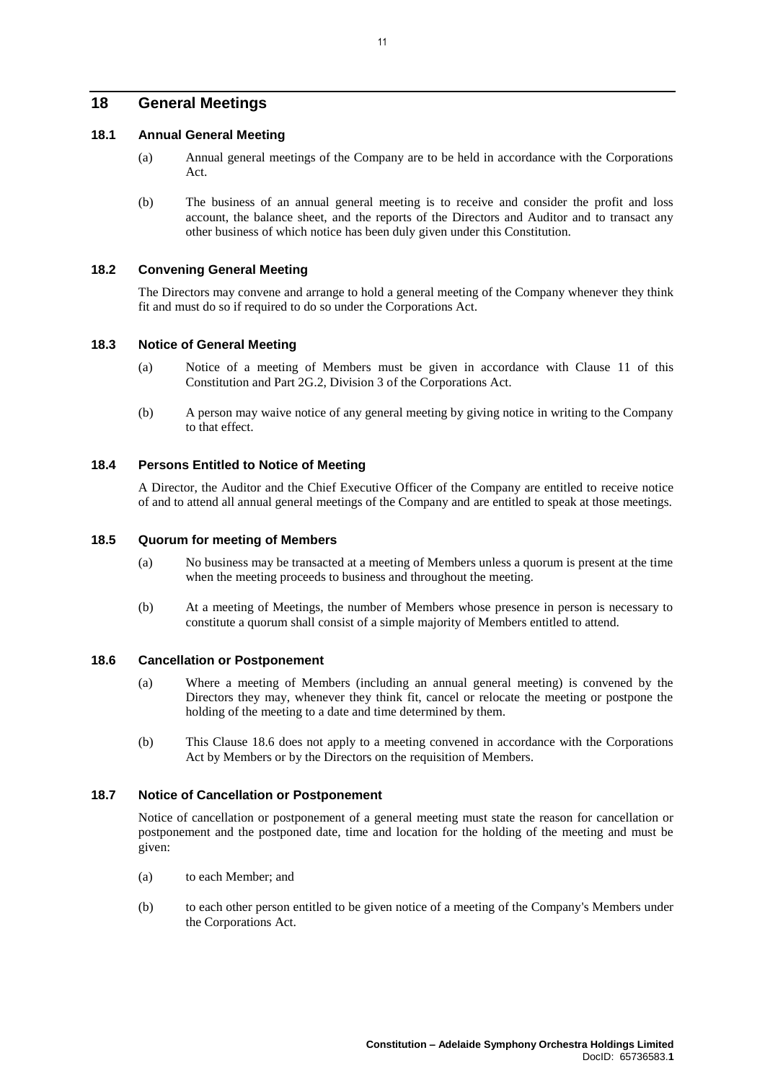# **18 General Meetings**

# **18.1 Annual General Meeting**

- (a) Annual general meetings of the Company are to be held in accordance with the Corporations Act.
- (b) The business of an annual general meeting is to receive and consider the profit and loss account, the balance sheet, and the reports of the Directors and Auditor and to transact any other business of which notice has been duly given under this Constitution.

#### **18.2 Convening General Meeting**

The Directors may convene and arrange to hold a general meeting of the Company whenever they think fit and must do so if required to do so under the Corporations Act.

# **18.3 Notice of General Meeting**

- (a) Notice of a meeting of Members must be given in accordance with Clause [11](#page-11-0) of this Constitution and Part 2G.2, Division 3 of the Corporations Act.
- (b) A person may waive notice of any general meeting by giving notice in writing to the Company to that effect.

### **18.4 Persons Entitled to Notice of Meeting**

A Director, the Auditor and the Chief Executive Officer of the Company are entitled to receive notice of and to attend all annual general meetings of the Company and are entitled to speak at those meetings.

#### **18.5 Quorum for meeting of Members**

- (a) No business may be transacted at a meeting of Members unless a quorum is present at the time when the meeting proceeds to business and throughout the meeting.
- (b) At a meeting of Meetings, the number of Members whose presence in person is necessary to constitute a quorum shall consist of a simple majority of Members entitled to attend.

#### <span id="page-14-0"></span>**18.6 Cancellation or Postponement**

- (a) Where a meeting of Members (including an annual general meeting) is convened by the Directors they may, whenever they think fit, cancel or relocate the meeting or postpone the holding of the meeting to a date and time determined by them.
- (b) This Clause [18.6](#page-14-0) does not apply to a meeting convened in accordance with the Corporations Act by Members or by the Directors on the requisition of Members.

# **18.7 Notice of Cancellation or Postponement**

Notice of cancellation or postponement of a general meeting must state the reason for cancellation or postponement and the postponed date, time and location for the holding of the meeting and must be given:

- (a) to each Member; and
- (b) to each other person entitled to be given notice of a meeting of the Company's Members under the Corporations Act.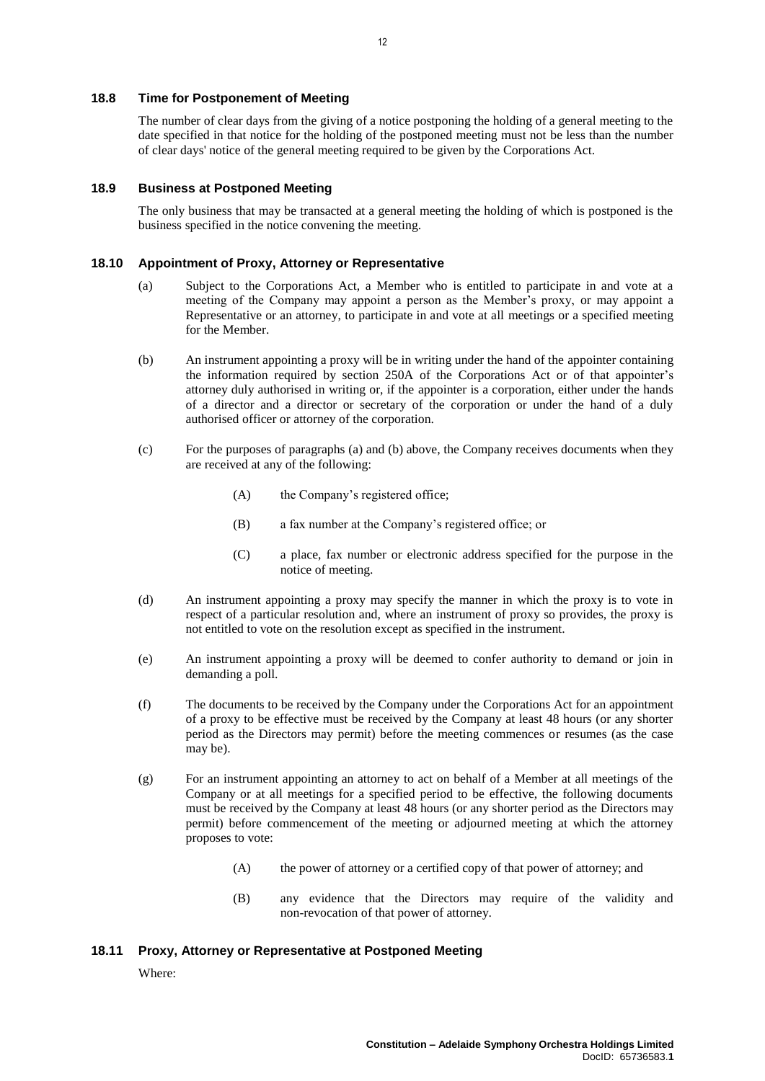### **18.8 Time for Postponement of Meeting**

The number of clear days from the giving of a notice postponing the holding of a general meeting to the date specified in that notice for the holding of the postponed meeting must not be less than the number of clear days' notice of the general meeting required to be given by the Corporations Act.

#### **18.9 Business at Postponed Meeting**

The only business that may be transacted at a general meeting the holding of which is postponed is the business specified in the notice convening the meeting.

#### <span id="page-15-0"></span>**18.10 Appointment of Proxy, Attorney or Representative**

- (a) Subject to the Corporations Act, a Member who is entitled to participate in and vote at a meeting of the Company may appoint a person as the Member's proxy, or may appoint a Representative or an attorney, to participate in and vote at all meetings or a specified meeting for the Member.
- <span id="page-15-1"></span>(b) An instrument appointing a proxy will be in writing under the hand of the appointer containing the information required by section 250A of the Corporations Act or of that appointer's attorney duly authorised in writing or, if the appointer is a corporation, either under the hands of a director and a director or secretary of the corporation or under the hand of a duly authorised officer or attorney of the corporation.
- (c) For the purposes of paragraphs [\(a\)](#page-15-0) and [\(b\)](#page-15-1) above, the Company receives documents when they are received at any of the following:
	- (A) the Company's registered office;
	- (B) a fax number at the Company's registered office; or
	- (C) a place, fax number or electronic address specified for the purpose in the notice of meeting.
- (d) An instrument appointing a proxy may specify the manner in which the proxy is to vote in respect of a particular resolution and, where an instrument of proxy so provides, the proxy is not entitled to vote on the resolution except as specified in the instrument.
- (e) An instrument appointing a proxy will be deemed to confer authority to demand or join in demanding a poll.
- (f) The documents to be received by the Company under the Corporations Act for an appointment of a proxy to be effective must be received by the Company at least 48 hours (or any shorter period as the Directors may permit) before the meeting commences or resumes (as the case may be).
- (g) For an instrument appointing an attorney to act on behalf of a Member at all meetings of the Company or at all meetings for a specified period to be effective, the following documents must be received by the Company at least 48 hours (or any shorter period as the Directors may permit) before commencement of the meeting or adjourned meeting at which the attorney proposes to vote:
	- (A) the power of attorney or a certified copy of that power of attorney; and
	- (B) any evidence that the Directors may require of the validity and non-revocation of that power of attorney.

#### <span id="page-15-2"></span>**18.11 Proxy, Attorney or Representative at Postponed Meeting**

Where: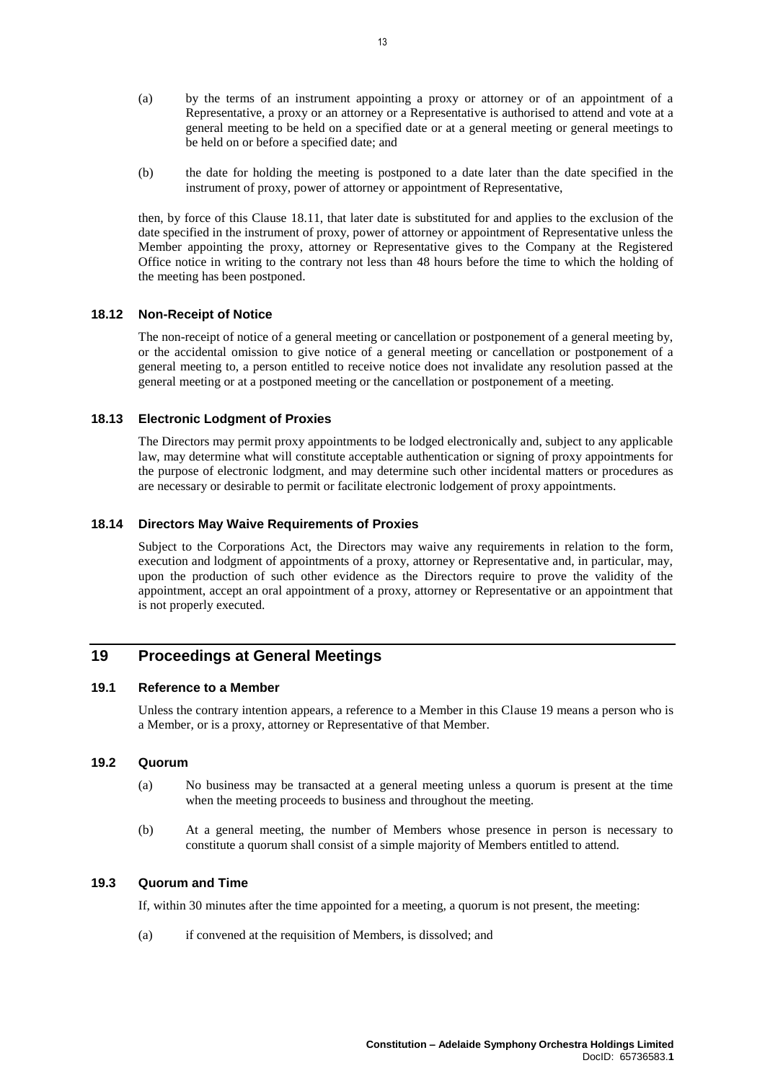- (a) by the terms of an instrument appointing a proxy or attorney or of an appointment of a Representative, a proxy or an attorney or a Representative is authorised to attend and vote at a general meeting to be held on a specified date or at a general meeting or general meetings to be held on or before a specified date; and
- (b) the date for holding the meeting is postponed to a date later than the date specified in the instrument of proxy, power of attorney or appointment of Representative,

then, by force of this Clause [18.11,](#page-15-2) that later date is substituted for and applies to the exclusion of the date specified in the instrument of proxy, power of attorney or appointment of Representative unless the Member appointing the proxy, attorney or Representative gives to the Company at the Registered Office notice in writing to the contrary not less than 48 hours before the time to which the holding of the meeting has been postponed.

#### **18.12 Non-Receipt of Notice**

The non-receipt of notice of a general meeting or cancellation or postponement of a general meeting by, or the accidental omission to give notice of a general meeting or cancellation or postponement of a general meeting to, a person entitled to receive notice does not invalidate any resolution passed at the general meeting or at a postponed meeting or the cancellation or postponement of a meeting.

# **18.13 Electronic Lodgment of Proxies**

The Directors may permit proxy appointments to be lodged electronically and, subject to any applicable law, may determine what will constitute acceptable authentication or signing of proxy appointments for the purpose of electronic lodgment, and may determine such other incidental matters or procedures as are necessary or desirable to permit or facilitate electronic lodgement of proxy appointments.

#### **18.14 Directors May Waive Requirements of Proxies**

Subject to the Corporations Act, the Directors may waive any requirements in relation to the form, execution and lodgment of appointments of a proxy, attorney or Representative and, in particular, may, upon the production of such other evidence as the Directors require to prove the validity of the appointment, accept an oral appointment of a proxy, attorney or Representative or an appointment that is not properly executed.

# <span id="page-16-0"></span>**19 Proceedings at General Meetings**

### **19.1 Reference to a Member**

Unless the contrary intention appears, a reference to a Member in this Claus[e 19](#page-16-0) means a person who is a Member, or is a proxy, attorney or Representative of that Member.

# **19.2 Quorum**

- (a) No business may be transacted at a general meeting unless a quorum is present at the time when the meeting proceeds to business and throughout the meeting.
- (b) At a general meeting, the number of Members whose presence in person is necessary to constitute a quorum shall consist of a simple majority of Members entitled to attend.

### **19.3 Quorum and Time**

If, within 30 minutes after the time appointed for a meeting, a quorum is not present, the meeting:

(a) if convened at the requisition of Members, is dissolved; and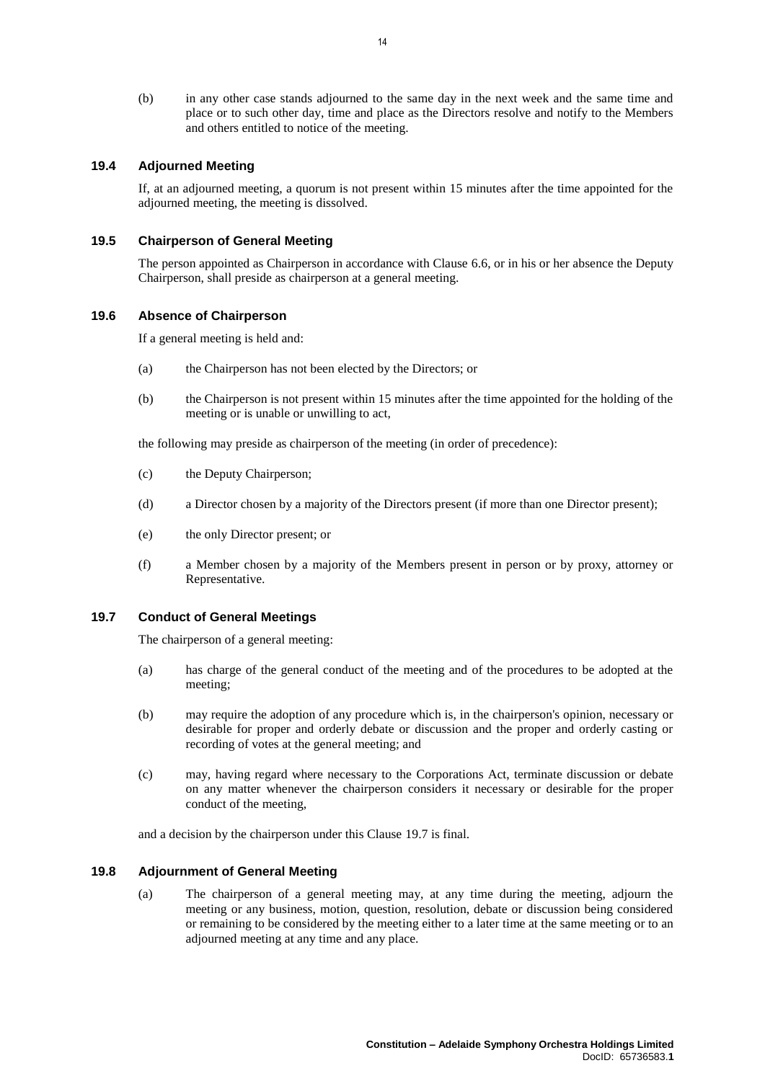(b) in any other case stands adjourned to the same day in the next week and the same time and place or to such other day, time and place as the Directors resolve and notify to the Members and others entitled to notice of the meeting.

### **19.4 Adjourned Meeting**

If, at an adjourned meeting, a quorum is not present within 15 minutes after the time appointed for the adjourned meeting, the meeting is dissolved.

#### **19.5 Chairperson of General Meeting**

The person appointed as Chairperson in accordance with Clause [6.6,](#page-9-0) or in his or her absence the Deputy Chairperson, shall preside as chairperson at a general meeting.

### **19.6 Absence of Chairperson**

If a general meeting is held and:

- (a) the Chairperson has not been elected by the Directors; or
- (b) the Chairperson is not present within 15 minutes after the time appointed for the holding of the meeting or is unable or unwilling to act,

the following may preside as chairperson of the meeting (in order of precedence):

- (c) the Deputy Chairperson;
- (d) a Director chosen by a majority of the Directors present (if more than one Director present);
- (e) the only Director present; or
- (f) a Member chosen by a majority of the Members present in person or by proxy, attorney or Representative.

#### <span id="page-17-0"></span>**19.7 Conduct of General Meetings**

The chairperson of a general meeting:

- (a) has charge of the general conduct of the meeting and of the procedures to be adopted at the meeting;
- (b) may require the adoption of any procedure which is, in the chairperson's opinion, necessary or desirable for proper and orderly debate or discussion and the proper and orderly casting or recording of votes at the general meeting; and
- (c) may, having regard where necessary to the Corporations Act, terminate discussion or debate on any matter whenever the chairperson considers it necessary or desirable for the proper conduct of the meeting,

and a decision by the chairperson under this Clause [19.7](#page-17-0) is final.

#### <span id="page-17-1"></span>**19.8 Adjournment of General Meeting**

(a) The chairperson of a general meeting may, at any time during the meeting, adjourn the meeting or any business, motion, question, resolution, debate or discussion being considered or remaining to be considered by the meeting either to a later time at the same meeting or to an adjourned meeting at any time and any place.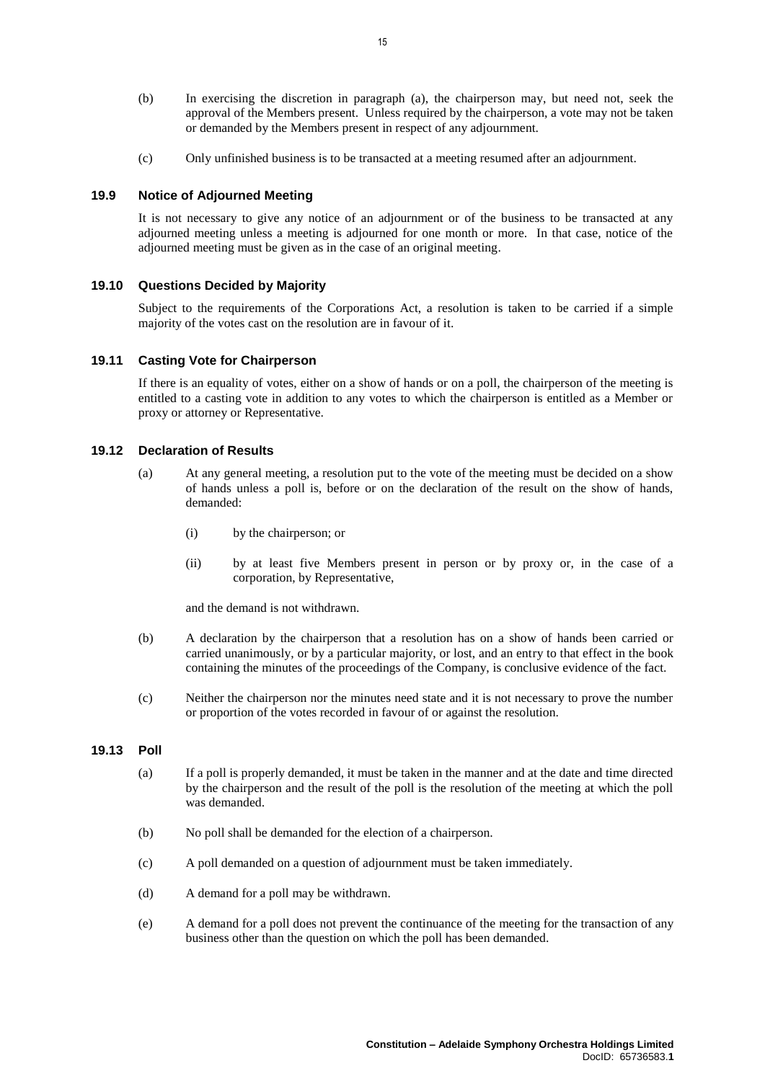- (b) In exercising the discretion in paragraph [\(a\),](#page-17-1) the chairperson may, but need not, seek the approval of the Members present. Unless required by the chairperson, a vote may not be taken or demanded by the Members present in respect of any adjournment.
- (c) Only unfinished business is to be transacted at a meeting resumed after an adjournment.

# **19.9 Notice of Adjourned Meeting**

It is not necessary to give any notice of an adjournment or of the business to be transacted at any adjourned meeting unless a meeting is adjourned for one month or more. In that case, notice of the adjourned meeting must be given as in the case of an original meeting.

#### **19.10 Questions Decided by Majority**

Subject to the requirements of the Corporations Act, a resolution is taken to be carried if a simple majority of the votes cast on the resolution are in favour of it.

#### **19.11 Casting Vote for Chairperson**

If there is an equality of votes, either on a show of hands or on a poll, the chairperson of the meeting is entitled to a casting vote in addition to any votes to which the chairperson is entitled as a Member or proxy or attorney or Representative.

#### **19.12 Declaration of Results**

- (a) At any general meeting, a resolution put to the vote of the meeting must be decided on a show of hands unless a poll is, before or on the declaration of the result on the show of hands, demanded:
	- (i) by the chairperson; or
	- (ii) by at least five Members present in person or by proxy or, in the case of a corporation, by Representative,

and the demand is not withdrawn.

- (b) A declaration by the chairperson that a resolution has on a show of hands been carried or carried unanimously, or by a particular majority, or lost, and an entry to that effect in the book containing the minutes of the proceedings of the Company, is conclusive evidence of the fact.
- (c) Neither the chairperson nor the minutes need state and it is not necessary to prove the number or proportion of the votes recorded in favour of or against the resolution.

#### **19.13 Poll**

- (a) If a poll is properly demanded, it must be taken in the manner and at the date and time directed by the chairperson and the result of the poll is the resolution of the meeting at which the poll was demanded.
- (b) No poll shall be demanded for the election of a chairperson.
- (c) A poll demanded on a question of adjournment must be taken immediately.
- (d) A demand for a poll may be withdrawn.
- (e) A demand for a poll does not prevent the continuance of the meeting for the transaction of any business other than the question on which the poll has been demanded.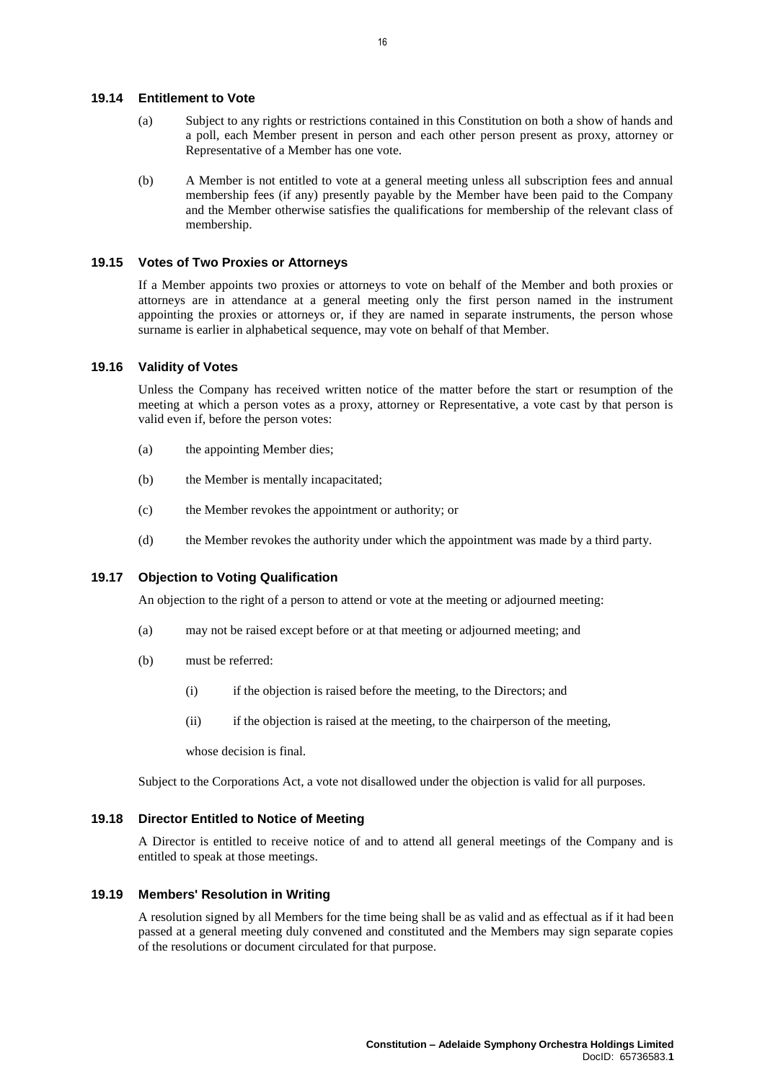#### **19.14 Entitlement to Vote**

- (a) Subject to any rights or restrictions contained in this Constitution on both a show of hands and a poll, each Member present in person and each other person present as proxy, attorney or Representative of a Member has one vote.
- (b) A Member is not entitled to vote at a general meeting unless all subscription fees and annual membership fees (if any) presently payable by the Member have been paid to the Company and the Member otherwise satisfies the qualifications for membership of the relevant class of membership.

#### **19.15 Votes of Two Proxies or Attorneys**

If a Member appoints two proxies or attorneys to vote on behalf of the Member and both proxies or attorneys are in attendance at a general meeting only the first person named in the instrument appointing the proxies or attorneys or, if they are named in separate instruments, the person whose surname is earlier in alphabetical sequence, may vote on behalf of that Member.

#### **19.16 Validity of Votes**

Unless the Company has received written notice of the matter before the start or resumption of the meeting at which a person votes as a proxy, attorney or Representative, a vote cast by that person is valid even if, before the person votes:

- (a) the appointing Member dies;
- (b) the Member is mentally incapacitated;
- (c) the Member revokes the appointment or authority; or
- (d) the Member revokes the authority under which the appointment was made by a third party.

# **19.17 Objection to Voting Qualification**

An objection to the right of a person to attend or vote at the meeting or adjourned meeting:

- (a) may not be raised except before or at that meeting or adjourned meeting; and
- (b) must be referred:
	- (i) if the objection is raised before the meeting, to the Directors; and
	- (ii) if the objection is raised at the meeting, to the chairperson of the meeting,

whose decision is final.

Subject to the Corporations Act, a vote not disallowed under the objection is valid for all purposes.

#### **19.18 Director Entitled to Notice of Meeting**

A Director is entitled to receive notice of and to attend all general meetings of the Company and is entitled to speak at those meetings.

### **19.19 Members' Resolution in Writing**

A resolution signed by all Members for the time being shall be as valid and as effectual as if it had been passed at a general meeting duly convened and constituted and the Members may sign separate copies of the resolutions or document circulated for that purpose.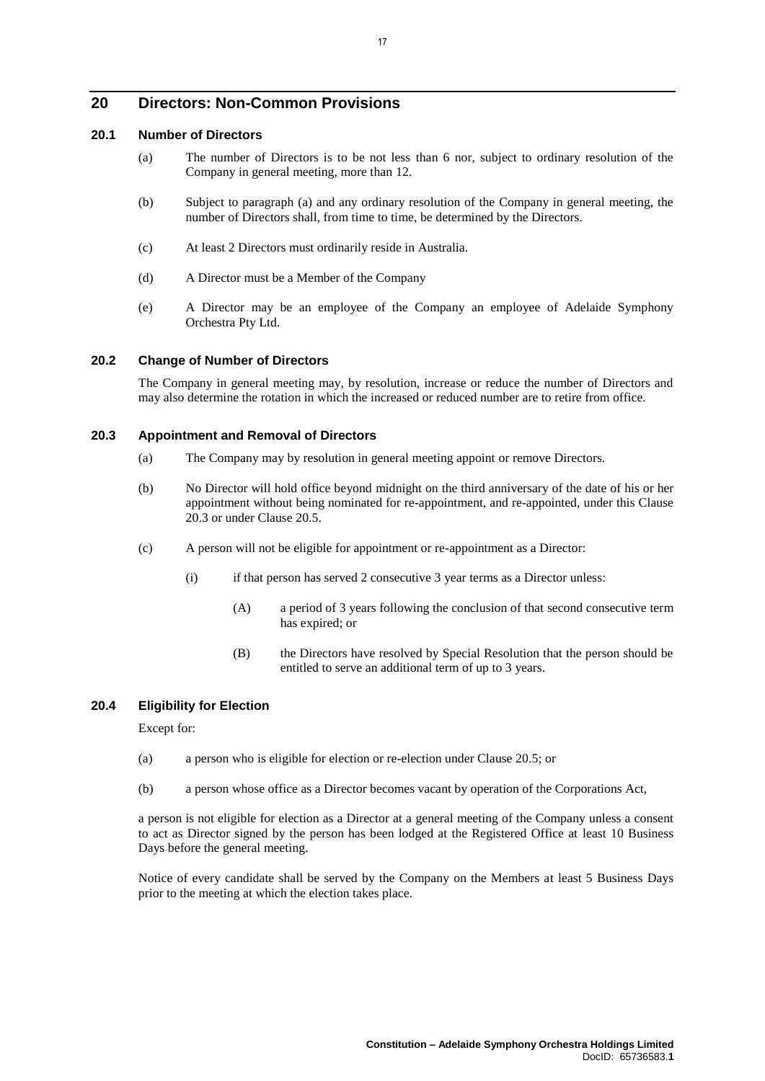# **20 Directors: Non-Common Provisions**

# <span id="page-20-0"></span>**20.1 Number of Directors**

- (a) The number of Directors is to be not less than 6 nor, subject to ordinary resolution of the Company in general meeting, more than 12.
- (b) Subject to paragraph [\(a\)](#page-20-0) and any ordinary resolution of the Company in general meeting, the number of Directors shall, from time to time, be determined by the Directors.
- (c) At least 2 Directors must ordinarily reside in Australia.
- (d) A Director must be a Member of the Company
- (e) A Director may be an employee of the Company an employee of Adelaide Symphony Orchestra Pty Ltd.

#### **20.2 Change of Number of Directors**

The Company in general meeting may, by resolution, increase or reduce the number of Directors and may also determine the rotation in which the increased or reduced number are to retire from office.

#### <span id="page-20-1"></span>**20.3 Appointment and Removal of Directors**

- (a) The Company may by resolution in general meeting appoint or remove Directors.
- (b) No Director will hold office beyond midnight on the third anniversary of the date of his or her appointment without being nominated for re-appointment, and re-appointed, under this Clause [20.3](#page-20-1) or under Clause [20.5.](#page-21-0)
- <span id="page-20-2"></span>(c) A person will not be eligible for appointment or re-appointment as a Director:
	- (i) if that person has served 2 consecutive 3 year terms as a Director unless:
		- (A) a period of 3 years following the conclusion of that second consecutive term has expired; or
		- (B) the Directors have resolved by Special Resolution that the person should be entitled to serve an additional term of up to 3 years.

# **20.4 Eligibility for Election**

Except for:

- (a) a person who is eligible for election or re-election under Clause [20.5;](#page-21-0) or
- (b) a person whose office as a Director becomes vacant by operation of the Corporations Act,

a person is not eligible for election as a Director at a general meeting of the Company unless a consent to act as Director signed by the person has been lodged at the Registered Office at least 10 Business Days before the general meeting.

Notice of every candidate shall be served by the Company on the Members at least 5 Business Days prior to the meeting at which the election takes place.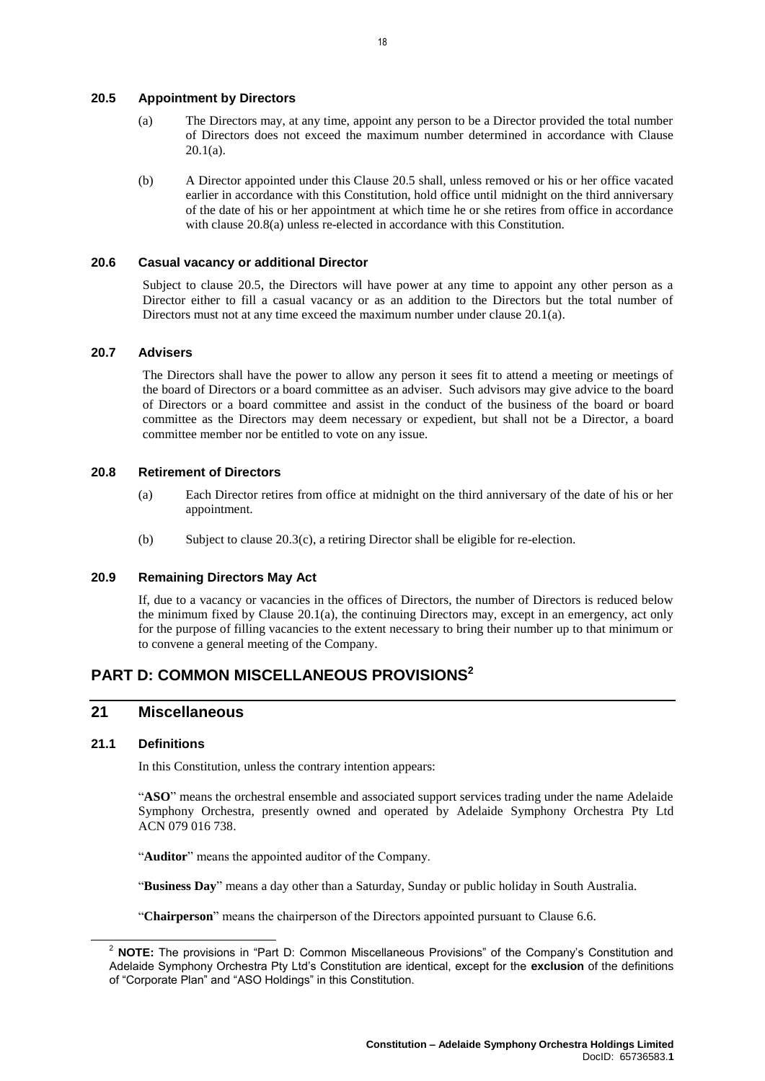<span id="page-21-0"></span>**20.5 Appointment by Directors**

- (a) The Directors may, at any time, appoint any person to be a Director provided the total number of Directors does not exceed the maximum number determined in accordance with Clause  $20.1(a)$ .
- (b) A Director appointed under this Clause [20.5](#page-21-0) shall, unless removed or his or her office vacated earlier in accordance with this Constitution, hold office until midnight on the third anniversary of the date of his or her appointment at which time he or she retires from office in accordance with clause [20.8\(a\)](#page-21-1) unless re-elected in accordance with this Constitution.

#### **20.6 Casual vacancy or additional Director**

Subject to clause [20.5,](#page-21-0) the Directors will have power at any time to appoint any other person as a Director either to fill a casual vacancy or as an addition to the Directors but the total number of Directors must not at any time exceed the maximum number under clause [20.1\(a\).](#page-20-0)

### **20.7 Advisers**

The Directors shall have the power to allow any person it sees fit to attend a meeting or meetings of the board of Directors or a board committee as an adviser. Such advisors may give advice to the board of Directors or a board committee and assist in the conduct of the business of the board or board committee as the Directors may deem necessary or expedient, but shall not be a Director, a board committee member nor be entitled to vote on any issue.

#### <span id="page-21-1"></span>**20.8 Retirement of Directors**

- (a) Each Director retires from office at midnight on the third anniversary of the date of his or her appointment.
- (b) Subject to clause [20.3\(c\),](#page-20-2) a retiring Director shall be eligible for re-election.

### **20.9 Remaining Directors May Act**

If, due to a vacancy or vacancies in the offices of Directors, the number of Directors is reduced below the minimum fixed by Clause [20.1\(a\),](#page-20-0) the continuing Directors may, except in an emergency, act only for the purpose of filling vacancies to the extent necessary to bring their number up to that minimum or to convene a general meeting of the Company.

# **PART D: COMMON MISCELLANEOUS PROVISIONS<sup>2</sup>**

# **21 Miscellaneous**

# **21.1 Definitions**

 $\overline{a}$ 

In this Constitution, unless the contrary intention appears:

"**ASO**" means the orchestral ensemble and associated support services trading under the name Adelaide Symphony Orchestra, presently owned and operated by Adelaide Symphony Orchestra Pty Ltd ACN 079 016 738.

"**Auditor**" means the appointed auditor of the Company.

"**Business Day**" means a day other than a Saturday, Sunday or public holiday in South Australia.

"**Chairperson**" means the chairperson of the Directors appointed pursuant to Clause [6.6.](#page-9-0)

<sup>2</sup> **NOTE:** The provisions in "Part D: Common Miscellaneous Provisions" of the Company's Constitution and Adelaide Symphony Orchestra Pty Ltd's Constitution are identical, except for the **exclusion** of the definitions of "Corporate Plan" and "ASO Holdings" in this Constitution.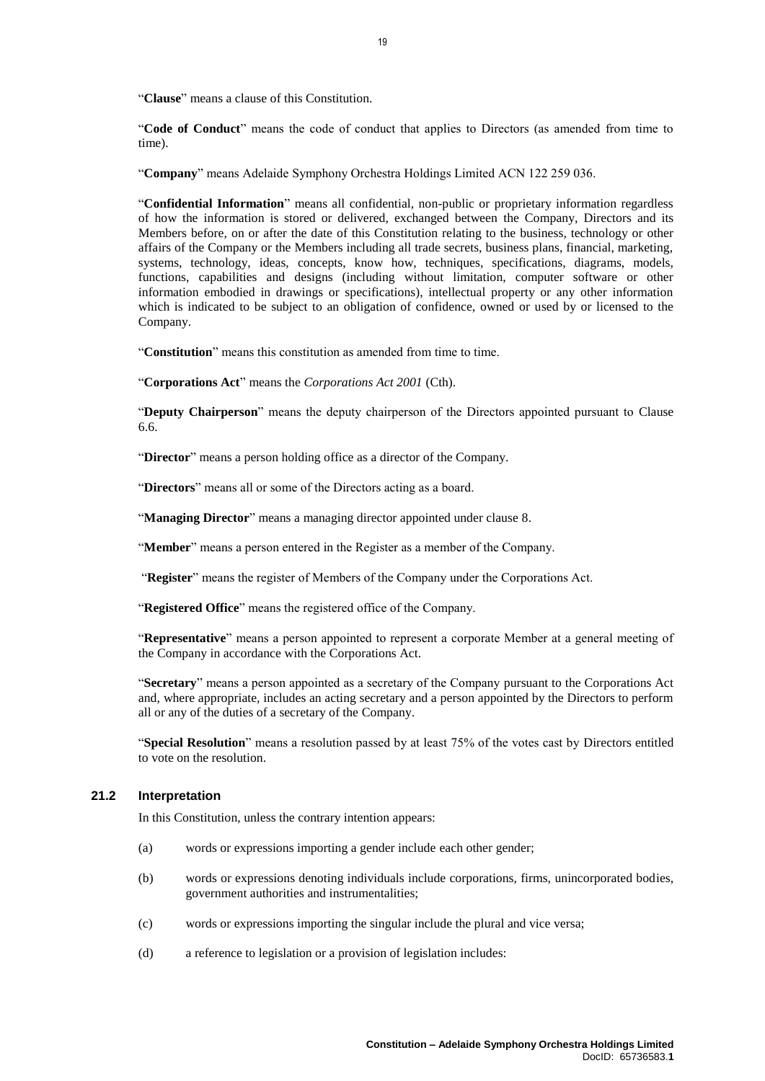"**Clause**" means a clause of this Constitution.

"**Code of Conduct**" means the code of conduct that applies to Directors (as amended from time to time).

"**Company**" means Adelaide Symphony Orchestra Holdings Limited ACN 122 259 036.

"**Confidential Information**" means all confidential, non-public or proprietary information regardless of how the information is stored or delivered, exchanged between the Company, Directors and its Members before, on or after the date of this Constitution relating to the business, technology or other affairs of the Company or the Members including all trade secrets, business plans, financial, marketing, systems, technology, ideas, concepts, know how, techniques, specifications, diagrams, models, functions, capabilities and designs (including without limitation, computer software or other information embodied in drawings or specifications), intellectual property or any other information which is indicated to be subject to an obligation of confidence, owned or used by or licensed to the Company.

"**Constitution**" means this constitution as amended from time to time.

"**Corporations Act**" means the *Corporations Act 2001* (Cth).

"**Deputy Chairperson**" means the deputy chairperson of the Directors appointed pursuant to Clause [6.6.](#page-9-0)

"**Director**" means a person holding office as a director of the Company.

"**Directors**" means all or some of the Directors acting as a board.

"**Managing Director**" means a managing director appointed under clause [8.](#page-10-1)

"**Member**" means a person entered in the Register as a member of the Company.

"**Register**" means the register of Members of the Company under the Corporations Act.

"**Registered Office**" means the registered office of the Company.

"**Representative**" means a person appointed to represent a corporate Member at a general meeting of the Company in accordance with the Corporations Act.

"**Secretary**" means a person appointed as a secretary of the Company pursuant to the Corporations Act and, where appropriate, includes an acting secretary and a person appointed by the Directors to perform all or any of the duties of a secretary of the Company.

"**Special Resolution**" means a resolution passed by at least 75% of the votes cast by Directors entitled to vote on the resolution.

# **21.2 Interpretation**

In this Constitution, unless the contrary intention appears:

- (a) words or expressions importing a gender include each other gender;
- (b) words or expressions denoting individuals include corporations, firms, unincorporated bodies, government authorities and instrumentalities;
- (c) words or expressions importing the singular include the plural and vice versa;
- (d) a reference to legislation or a provision of legislation includes: